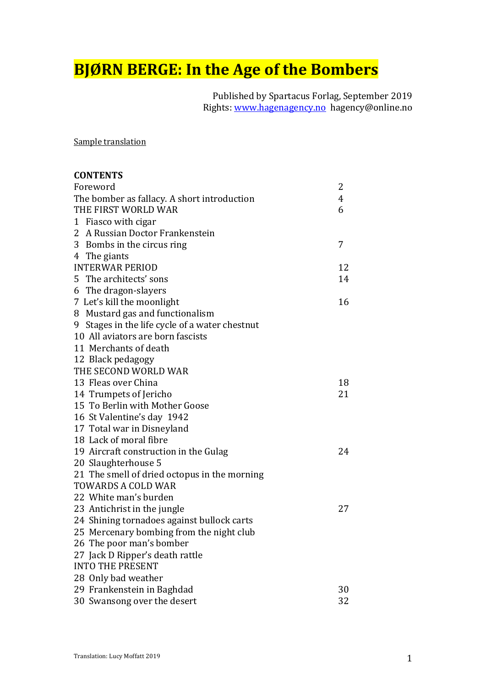# **BJØRN BERGE: In the Age of the Bombers**

Published by Spartacus Forlag, September 2019 Rights: www.hagenagency.no hagency@online.no

Sample translation

| <b>CONTENTS</b>                                |                |
|------------------------------------------------|----------------|
| Foreword                                       | 2              |
| The bomber as fallacy. A short introduction    | $\overline{4}$ |
| THE FIRST WORLD WAR                            | 6              |
| 1 Fiasco with cigar                            |                |
| 2 A Russian Doctor Frankenstein                |                |
| 3 Bombs in the circus ring                     | 7              |
| 4 The giants                                   |                |
| <b>INTERWAR PERIOD</b>                         | 12             |
| 5 The architects' sons                         | 14             |
| 6 The dragon-slayers                           |                |
| 7 Let's kill the moonlight                     | 16             |
| 8 Mustard gas and functionalism                |                |
| 9 Stages in the life cycle of a water chestnut |                |
| 10 All aviators are born fascists              |                |
| 11 Merchants of death                          |                |
| 12 Black pedagogy                              |                |
| THE SECOND WORLD WAR                           |                |
| 13 Fleas over China                            | 18             |
| 14 Trumpets of Jericho                         | 21             |
| 15 To Berlin with Mother Goose                 |                |
| 16 St Valentine's day 1942                     |                |
| 17 Total war in Disneyland                     |                |
| 18 Lack of moral fibre                         |                |
| 19 Aircraft construction in the Gulag          | 24             |
| 20 Slaughterhouse 5                            |                |
| 21 The smell of dried octopus in the morning   |                |
| <b>TOWARDS A COLD WAR</b>                      |                |
| 22 White man's burden                          |                |
| 23 Antichrist in the jungle                    | 27             |
| 24 Shining tornadoes against bullock carts     |                |
| 25 Mercenary bombing from the night club       |                |
| 26 The poor man's bomber                       |                |
| 27 Jack D Ripper's death rattle                |                |
| <b>INTO THE PRESENT</b>                        |                |
| 28 Only bad weather                            |                |
| 29 Frankenstein in Baghdad                     | 30             |
| 30 Swansong over the desert                    | 32             |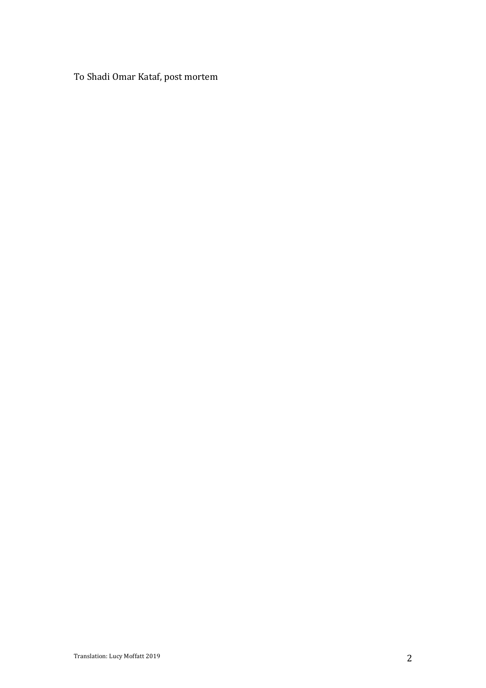To Shadi Omar Kataf, post mortem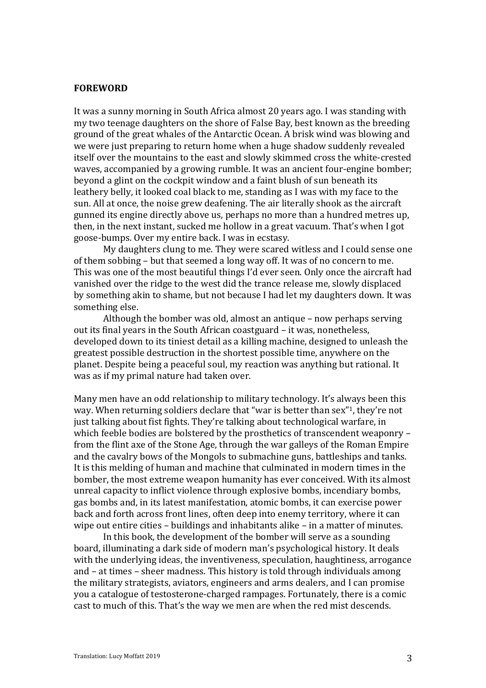## **FOREWORD**

It was a sunny morning in South Africa almost 20 years ago. I was standing with my two teenage daughters on the shore of False Bay, best known as the breeding ground of the great whales of the Antarctic Ocean. A brisk wind was blowing and we were just preparing to return home when a huge shadow suddenly revealed itself over the mountains to the east and slowly skimmed cross the white-crested waves, accompanied by a growing rumble. It was an ancient four-engine bomber; beyond a glint on the cockpit window and a faint blush of sun beneath its leathery belly, it looked coal black to me, standing as I was with my face to the sun. All at once, the noise grew deafening. The air literally shook as the aircraft gunned its engine directly above us, perhaps no more than a hundred metres up, then, in the next instant, sucked me hollow in a great vacuum. That's when I got goose-bumps. Over my entire back. I was in ecstasy.

My daughters clung to me. They were scared witless and I could sense one of them sobbing – but that seemed a long way off. It was of no concern to me. This was one of the most beautiful things I'd ever seen. Only once the aircraft had vanished over the ridge to the west did the trance release me, slowly displaced by something akin to shame, but not because I had let my daughters down. It was something else.

Although the bomber was old, almost an antique  $-$  now perhaps serving out its final vears in the South African coastguard  $-$  it was, nonetheless, developed down to its tiniest detail as a killing machine, designed to unleash the greatest possible destruction in the shortest possible time, anywhere on the planet. Despite being a peaceful soul, my reaction was anything but rational. It was as if my primal nature had taken over.

Many men have an odd relationship to military technology. It's always been this way. When returning soldiers declare that "war is better than sex"<sup>1</sup>, they're not just talking about fist fights. They're talking about technological warfare, in which feeble bodies are bolstered by the prosthetics of transcendent weaponry  $$ from the flint axe of the Stone Age, through the war galleys of the Roman Empire and the cavalry bows of the Mongols to submachine guns, battleships and tanks. It is this melding of human and machine that culminated in modern times in the bomber, the most extreme weapon humanity has ever conceived. With its almost unreal capacity to inflict violence through explosive bombs, incendiary bombs, gas bombs and, in its latest manifestation, atomic bombs, it can exercise power back and forth across front lines, often deep into enemy territory, where it can wipe out entire cities  $-$  buildings and inhabitants alike  $-$  in a matter of minutes.

In this book, the development of the bomber will serve as a sounding board, illuminating a dark side of modern man's psychological history. It deals with the underlying ideas, the inventiveness, speculation, haughtiness, arrogance and  $-$  at times  $-$  sheer madness. This history is told through individuals among the military strategists, aviators, engineers and arms dealers, and I can promise you a catalogue of testosterone-charged rampages. Fortunately, there is a comic cast to much of this. That's the way we men are when the red mist descends.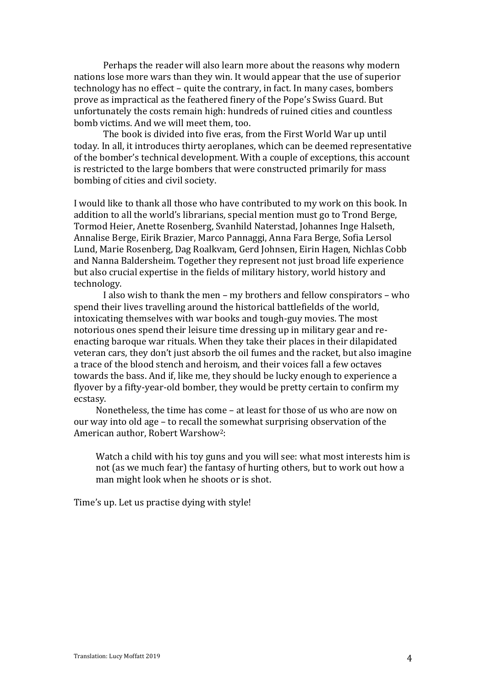Perhaps the reader will also learn more about the reasons why modern nations lose more wars than they win. It would appear that the use of superior technology has no effect – quite the contrary, in fact. In many cases, bombers prove as impractical as the feathered finery of the Pope's Swiss Guard. But unfortunately the costs remain high: hundreds of ruined cities and countless bomb victims. And we will meet them, too.

The book is divided into five eras, from the First World War up until today. In all, it introduces thirty aeroplanes, which can be deemed representative of the bomber's technical development. With a couple of exceptions, this account is restricted to the large bombers that were constructed primarily for mass bombing of cities and civil society.

I would like to thank all those who have contributed to my work on this book. In addition to all the world's librarians, special mention must go to Trond Berge, Tormod Heier, Anette Rosenberg, Svanhild Naterstad, Johannes Inge Halseth, Annalise Berge, Eirik Brazier, Marco Pannaggi, Anna Fara Berge, Sofia Lersol Lund, Marie Rosenberg, Dag Roalkvam, Gerd Johnsen, Eirin Hagen, Nichlas Cobb and Nanna Baldersheim. Together they represent not just broad life experience but also crucial expertise in the fields of military history, world history and technology.

I also wish to thank the men – my brothers and fellow conspirators – who spend their lives travelling around the historical battlefields of the world, intoxicating themselves with war books and tough-guy movies. The most notorious ones spend their leisure time dressing up in military gear and reenacting baroque war rituals. When they take their places in their dilapidated veteran cars, they don't just absorb the oil fumes and the racket, but also imagine a trace of the blood stench and heroism, and their voices fall a few octaves towards the bass. And if, like me, they should be lucky enough to experience a flyover by a fifty-year-old bomber, they would be pretty certain to confirm my ecstasy.

Nonetheless, the time has come  $-$  at least for those of us who are now on our way into old age - to recall the somewhat surprising observation of the American author, Robert Warshow<sup>2</sup>:

Watch a child with his toy guns and you will see: what most interests him is not (as we much fear) the fantasy of hurting others, but to work out how a man might look when he shoots or is shot.

Time's up. Let us practise dying with style!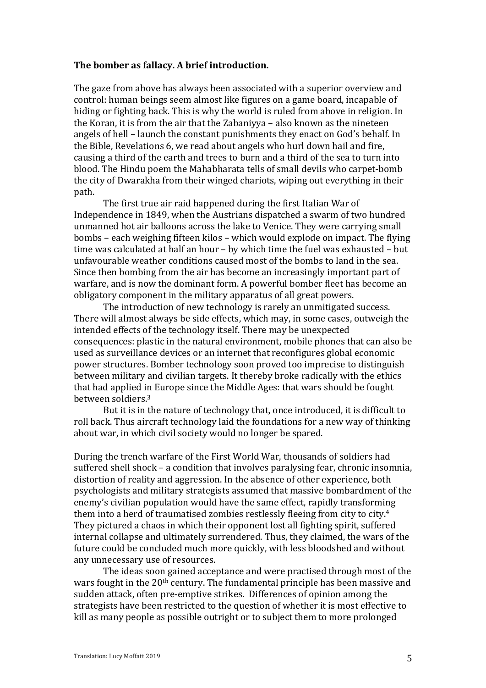#### The bomber as fallacy. A brief introduction.

The gaze from above has always been associated with a superior overview and control: human beings seem almost like figures on a game board, incapable of hiding or fighting back. This is why the world is ruled from above in religion. In the Koran, it is from the air that the Zabaniyya  $-$  also known as the nineteen angels of hell – launch the constant punishments they enact on God's behalf. In the Bible, Revelations 6, we read about angels who hurl down hail and fire, causing a third of the earth and trees to burn and a third of the sea to turn into blood. The Hindu poem the Mahabharata tells of small devils who carpet-bomb the city of Dwarakha from their winged chariots, wiping out everything in their path.

The first true air raid happened during the first Italian War of Independence in 1849, when the Austrians dispatched a swarm of two hundred unmanned hot air balloons across the lake to Venice. They were carrying small bombs - each weighing fifteen kilos - which would explode on impact. The flying time was calculated at half an hour  $-$  by which time the fuel was exhausted  $-$  but unfavourable weather conditions caused most of the bombs to land in the sea. Since then bombing from the air has become an increasingly important part of warfare, and is now the dominant form. A powerful bomber fleet has become an obligatory component in the military apparatus of all great powers.

The introduction of new technology is rarely an unmitigated success. There will almost always be side effects, which may, in some cases, outweigh the intended effects of the technology itself. There may be unexpected consequences: plastic in the natural environment, mobile phones that can also be used as surveillance devices or an internet that reconfigures global economic power structures. Bomber technology soon proved too imprecise to distinguish between military and civilian targets. It thereby broke radically with the ethics that had applied in Europe since the Middle Ages: that wars should be fought between soldiers.<sup>3</sup>

But it is in the nature of technology that, once introduced, it is difficult to roll back. Thus aircraft technology laid the foundations for a new way of thinking about war, in which civil society would no longer be spared.

During the trench warfare of the First World War, thousands of soldiers had suffered shell shock  $-$  a condition that involves paralysing fear, chronic insomnia, distortion of reality and aggression. In the absence of other experience, both psychologists and military strategists assumed that massive bombardment of the enemy's civilian population would have the same effect, rapidly transforming them into a herd of traumatised zombies restlessly fleeing from city to city. $4$ They pictured a chaos in which their opponent lost all fighting spirit, suffered internal collapse and ultimately surrendered. Thus, they claimed, the wars of the future could be concluded much more quickly, with less bloodshed and without any unnecessary use of resources.

The ideas soon gained acceptance and were practised through most of the wars fought in the  $20<sup>th</sup>$  century. The fundamental principle has been massive and sudden attack, often pre-emptive strikes. Differences of opinion among the strategists have been restricted to the question of whether it is most effective to kill as many people as possible outright or to subject them to more prolonged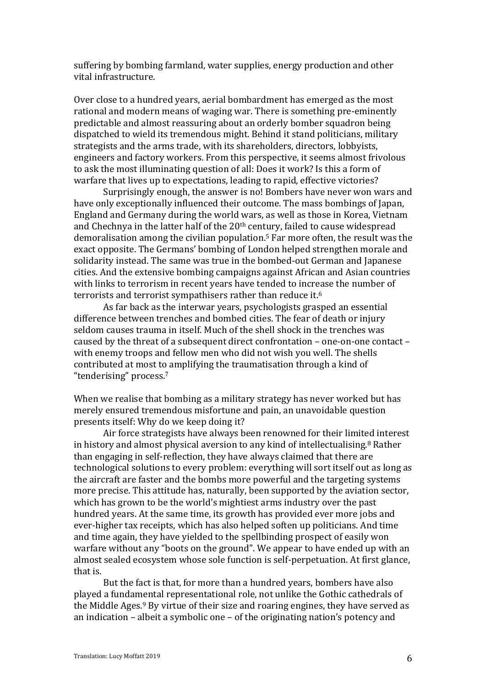suffering by bombing farmland, water supplies, energy production and other vital infrastructure.

Over close to a hundred years, aerial bombardment has emerged as the most rational and modern means of waging war. There is something pre-eminently predictable and almost reassuring about an orderly bomber squadron being dispatched to wield its tremendous might. Behind it stand politicians, military strategists and the arms trade, with its shareholders, directors, lobbyists, engineers and factory workers. From this perspective, it seems almost frivolous to ask the most illuminating question of all: Does it work? Is this a form of warfare that lives up to expectations, leading to rapid, effective victories?

Surprisingly enough, the answer is no! Bombers have never won wars and have only exceptionally influenced their outcome. The mass bombings of Japan, England and Germany during the world wars, as well as those in Korea, Vietnam and Chechnya in the latter half of the  $20<sup>th</sup>$  century, failed to cause widespread demoralisation among the civilian population.<sup>5</sup> Far more often, the result was the exact opposite. The Germans' bombing of London helped strengthen morale and solidarity instead. The same was true in the bombed-out German and Japanese cities. And the extensive bombing campaigns against African and Asian countries with links to terrorism in recent vears have tended to increase the number of terrorists and terrorist sympathisers rather than reduce it.<sup>6</sup>

As far back as the interwar vears, psychologists grasped an essential difference between trenches and bombed cities. The fear of death or injury seldom causes trauma in itself. Much of the shell shock in the trenches was caused by the threat of a subsequent direct confrontation  $-$  one-on-one contact  $$ with enemy troops and fellow men who did not wish you well. The shells contributed at most to amplifying the traumatisation through a kind of "tenderising" process.<sup>7</sup>

When we realise that bombing as a military strategy has never worked but has merely ensured tremendous misfortune and pain, an unavoidable question presents itself: Why do we keep doing it?

Air force strategists have always been renowned for their limited interest in history and almost physical aversion to any kind of intellectualising.<sup>8</sup> Rather than engaging in self-reflection, they have always claimed that there are technological solutions to every problem: everything will sort itself out as long as the aircraft are faster and the bombs more powerful and the targeting systems more precise. This attitude has, naturally, been supported by the aviation sector, which has grown to be the world's mightiest arms industry over the past hundred years. At the same time, its growth has provided ever more jobs and ever-higher tax receipts, which has also helped soften up politicians. And time and time again, they have yielded to the spellbinding prospect of easily won warfare without any "boots on the ground". We appear to have ended up with an almost sealed ecosystem whose sole function is self-perpetuation. At first glance, that is.

But the fact is that, for more than a hundred years, bombers have also played a fundamental representational role, not unlike the Gothic cathedrals of the Middle Ages.<sup>9</sup> By virtue of their size and roaring engines, they have served as an indication – albeit a symbolic one – of the originating nation's potency and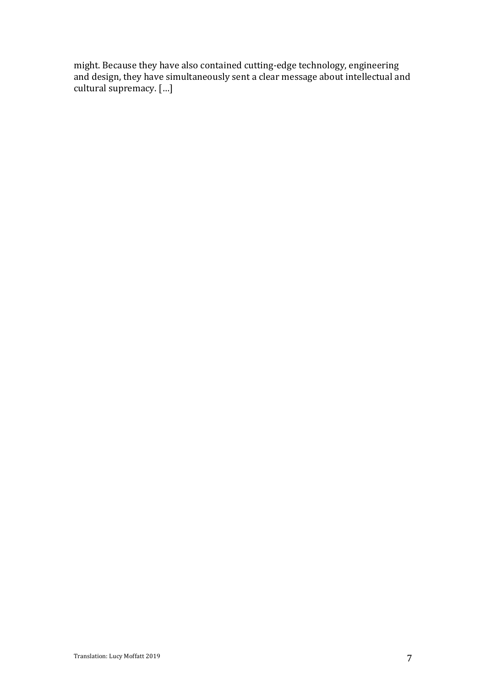might. Because they have also contained cutting-edge technology, engineering and design, they have simultaneously sent a clear message about intellectual and cultural supremacy. [...]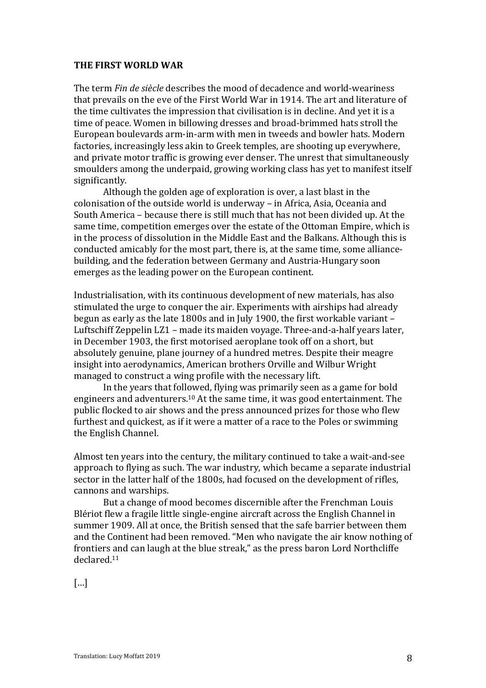## **THE FIRST WORLD WAR**

The term *Fin de siècle* describes the mood of decadence and world-weariness that prevails on the eve of the First World War in 1914. The art and literature of the time cultivates the impression that civilisation is in decline. And yet it is a time of peace. Women in billowing dresses and broad-brimmed hats stroll the European boulevards arm-in-arm with men in tweeds and bowler hats. Modern factories, increasingly less akin to Greek temples, are shooting up everywhere, and private motor traffic is growing ever denser. The unrest that simultaneously smoulders among the underpaid, growing working class has yet to manifest itself significantly.

Although the golden age of exploration is over, a last blast in the colonisation of the outside world is underway - in Africa, Asia, Oceania and South America – because there is still much that has not been divided up. At the same time, competition emerges over the estate of the Ottoman Empire, which is in the process of dissolution in the Middle East and the Balkans. Although this is conducted amicably for the most part, there is, at the same time, some alliancebuilding, and the federation between Germany and Austria-Hungary soon emerges as the leading power on the European continent.

Industrialisation, with its continuous development of new materials, has also stimulated the urge to conquer the air. Experiments with airships had already begun as early as the late 1800s and in July 1900, the first workable variant  $-$ Luftschiff Zeppelin  $LZ1$  – made its maiden vovage. Three-and-a-half vears later, in December 1903, the first motorised aeroplane took off on a short, but absolutely genuine, plane journey of a hundred metres. Despite their meagre insight into aerodynamics, American brothers Orville and Wilbur Wright managed to construct a wing profile with the necessary lift.

In the years that followed, flying was primarily seen as a game for bold engineers and adventurers.<sup>10</sup> At the same time, it was good entertainment. The public flocked to air shows and the press announced prizes for those who flew furthest and quickest, as if it were a matter of a race to the Poles or swimming the English Channel.

Almost ten years into the century, the military continued to take a wait-and-see approach to flying as such. The war industry, which became a separate industrial sector in the latter half of the 1800s, had focused on the development of rifles, cannons and warships.

But a change of mood becomes discernible after the Frenchman Louis Blériot flew a fragile little single-engine aircraft across the English Channel in summer 1909. All at once, the British sensed that the safe barrier between them and the Continent had been removed. "Men who navigate the air know nothing of frontiers and can laugh at the blue streak," as the press baron Lord Northcliffe declared.11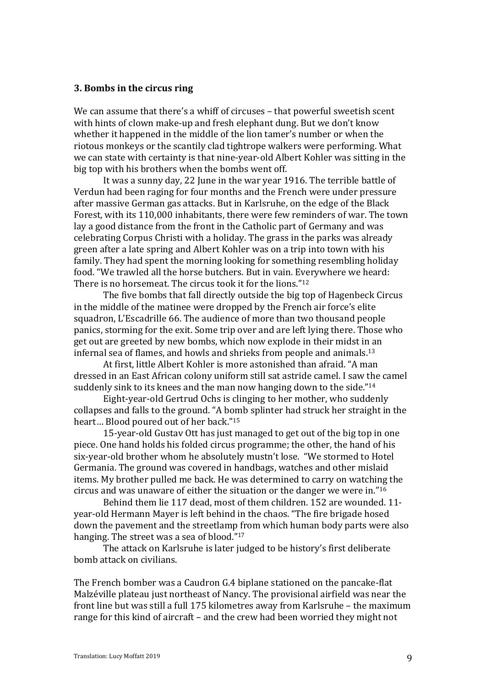#### **3. Bombs in the circus ring**

We can assume that there's a whiff of circuses - that powerful sweetish scent with hints of clown make-up and fresh elephant dung. But we don't know whether it happened in the middle of the lion tamer's number or when the riotous monkeys or the scantily clad tightrope walkers were performing. What we can state with certainty is that nine-year-old Albert Kohler was sitting in the big top with his brothers when the bombs went off.

It was a sunny day, 22 June in the war year 1916. The terrible battle of Verdun had been raging for four months and the French were under pressure after massive German gas attacks. But in Karlsruhe, on the edge of the Black Forest, with its 110,000 inhabitants, there were few reminders of war. The town lay a good distance from the front in the Catholic part of Germany and was celebrating Corpus Christi with a holiday. The grass in the parks was already green after a late spring and Albert Kohler was on a trip into town with his family. They had spent the morning looking for something resembling holiday food. "We trawled all the horse butchers. But in vain. Everywhere we heard: There is no horsemeat. The circus took it for the lions." $12$ 

The five bombs that fall directly outside the big top of Hagenbeck Circus in the middle of the matinee were dropped by the French air force's elite squadron, L'Escadrille 66. The audience of more than two thousand people panics, storming for the exit. Some trip over and are left lying there. Those who get out are greeted by new bombs, which now explode in their midst in an infernal sea of flames, and howls and shrieks from people and animals.<sup>13</sup>

At first, little Albert Kohler is more astonished than afraid. "A man dressed in an East African colony uniform still sat astride camel. I saw the camel suddenly sink to its knees and the man now hanging down to the side."<sup>14</sup>

Eight-year-old Gertrud Ochs is clinging to her mother, who suddenly collapses and falls to the ground. "A bomb splinter had struck her straight in the heart... Blood poured out of her back."<sup>15</sup>

15-year-old Gustav Ott has just managed to get out of the big top in one piece. One hand holds his folded circus programme; the other, the hand of his six-year-old brother whom he absolutely mustn't lose. "We stormed to Hotel Germania. The ground was covered in handbags, watches and other mislaid items. My brother pulled me back. He was determined to carry on watching the circus and was unaware of either the situation or the danger we were in." $16$ 

Behind them lie 117 dead, most of them children. 152 are wounded. 11year-old Hermann Mayer is left behind in the chaos. "The fire brigade hosed down the pavement and the streetlamp from which human body parts were also hanging. The street was a sea of blood."<sup>17</sup>

The attack on Karlsruhe is later judged to be history's first deliberate bomb attack on civilians.

The French bomber was a Caudron G.4 biplane stationed on the pancake-flat Malzéville plateau just northeast of Nancy. The provisional airfield was near the front line but was still a full 175 kilometres away from Karlsruhe - the maximum range for this kind of aircraft – and the crew had been worried they might not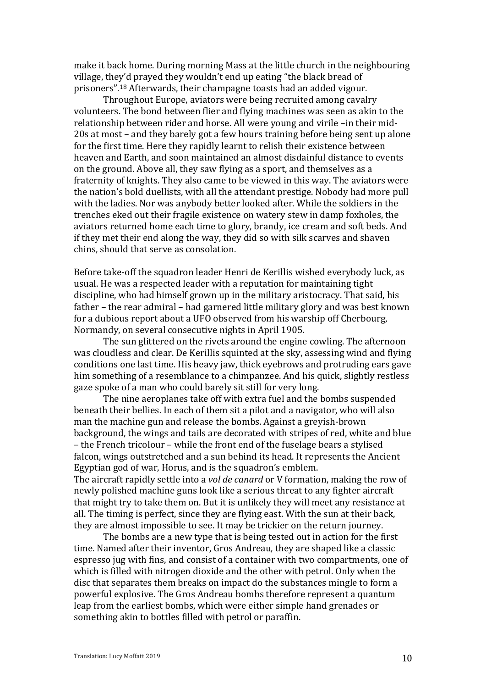make it back home. During morning Mass at the little church in the neighbouring village, they'd prayed they wouldn't end up eating "the black bread of prisoners".<sup>18</sup> Afterwards, their champagne toasts had an added vigour.

Throughout Europe, aviators were being recruited among cavalry volunteers. The bond between flier and flying machines was seen as akin to the relationship between rider and horse. All were young and virile -in their mid-20s at most – and they barely got a few hours training before being sent up alone for the first time. Here they rapidly learnt to relish their existence between heaven and Earth, and soon maintained an almost disdainful distance to events on the ground. Above all, they saw flying as a sport, and themselves as a fraternity of knights. They also came to be viewed in this way. The aviators were the nation's bold duellists, with all the attendant prestige. Nobody had more pull with the ladies. Nor was anybody better looked after. While the soldiers in the trenches eked out their fragile existence on watery stew in damp foxholes, the aviators returned home each time to glory, brandy, ice cream and soft beds. And if they met their end along the way, they did so with silk scarves and shaven chins, should that serve as consolation.

Before take-off the squadron leader Henri de Kerillis wished everybody luck, as usual. He was a respected leader with a reputation for maintaining tight discipline, who had himself grown up in the military aristocracy. That said, his father – the rear admiral – had garnered little military glory and was best known for a dubious report about a UFO observed from his warship off Cherbourg, Normandy, on several consecutive nights in April 1905.

The sun glittered on the rivets around the engine cowling. The afternoon was cloudless and clear. De Kerillis squinted at the sky, assessing wind and flying conditions one last time. His heavy jaw, thick eyebrows and protruding ears gave him something of a resemblance to a chimpanzee. And his quick, slightly restless gaze spoke of a man who could barely sit still for very long.

The nine aeroplanes take off with extra fuel and the bombs suspended beneath their bellies. In each of them sit a pilot and a navigator, who will also man the machine gun and release the bombs. Against a grevish-brown background, the wings and tails are decorated with stripes of red, white and blue – the French tricolour – while the front end of the fuselage bears a stylised falcon, wings outstretched and a sun behind its head. It represents the Ancient Egyptian god of war, Horus, and is the squadron's emblem.

The aircraft rapidly settle into a *vol de canard* or V formation, making the row of newly polished machine guns look like a serious threat to any fighter aircraft that might try to take them on. But it is unlikely they will meet any resistance at all. The timing is perfect, since they are flying east. With the sun at their back, they are almost impossible to see. It may be trickier on the return journey.

The bombs are a new type that is being tested out in action for the first time. Named after their inventor, Gros Andreau, they are shaped like a classic espresso jug with fins, and consist of a container with two compartments, one of which is filled with nitrogen dioxide and the other with petrol. Only when the disc that separates them breaks on impact do the substances mingle to form a powerful explosive. The Gros Andreau bombs therefore represent a quantum leap from the earliest bombs, which were either simple hand grenades or something akin to bottles filled with petrol or paraffin.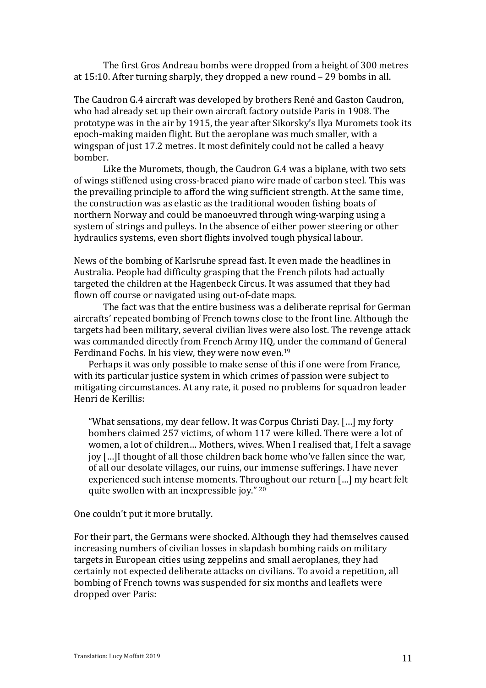The first Gros Andreau bombs were dropped from a height of 300 metres at  $15:10$ . After turning sharply, they dropped a new round  $-29$  bombs in all.

The Caudron G.4 aircraft was developed by brothers René and Gaston Caudron, who had already set up their own aircraft factory outside Paris in 1908. The prototype was in the air by 1915, the year after Sikorsky's Ilya Muromets took its epoch-making maiden flight. But the aeroplane was much smaller, with a wingspan of just 17.2 metres. It most definitely could not be called a heavy bomber.

Like the Muromets, though, the Caudron G.4 was a biplane, with two sets of wings stiffened using cross-braced piano wire made of carbon steel. This was the prevailing principle to afford the wing sufficient strength. At the same time, the construction was as elastic as the traditional wooden fishing boats of northern Norway and could be manoeuvred through wing-warping using a system of strings and pulleys. In the absence of either power steering or other hydraulics systems, even short flights involved tough physical labour.

News of the bombing of Karlsruhe spread fast. It even made the headlines in Australia. People had difficulty grasping that the French pilots had actually targeted the children at the Hagenbeck Circus. It was assumed that they had flown off course or navigated using out-of-date maps.

The fact was that the entire business was a deliberate reprisal for German aircrafts' repeated bombing of French towns close to the front line. Although the targets had been military, several civilian lives were also lost. The revenge attack was commanded directly from French Army HQ, under the command of General Ferdinand Fochs. In his view, they were now even.<sup>19</sup>

Perhaps it was only possible to make sense of this if one were from France, with its particular justice system in which crimes of passion were subject to mitigating circumstances. At any rate, it posed no problems for squadron leader Henri de Kerillis:

"What sensations, my dear fellow. It was Corpus Christi Day. [...] my forty bombers claimed 257 victims, of whom 117 were killed. There were a lot of women, a lot of children... Mothers, wives. When I realised that, I felt a savage joy [...]I thought of all those children back home who've fallen since the war, of all our desolate villages, our ruins, our immense sufferings. I have never experienced such intense moments. Throughout our return [...] my heart felt quite swollen with an inexpressible joy."  $20$ 

One couldn't put it more brutally.

For their part, the Germans were shocked. Although they had themselves caused increasing numbers of civilian losses in slapdash bombing raids on military targets in European cities using zeppelins and small aeroplanes, they had certainly not expected deliberate attacks on civilians. To avoid a repetition, all bombing of French towns was suspended for six months and leaflets were dropped over Paris: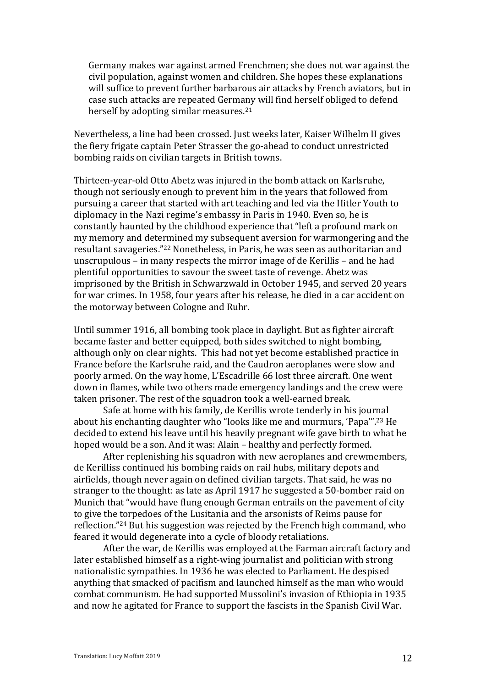Germany makes war against armed Frenchmen; she does not war against the civil population, against women and children. She hopes these explanations will suffice to prevent further barbarous air attacks by French aviators, but in case such attacks are repeated Germany will find herself obliged to defend herself by adopting similar measures.<sup>21</sup>

Nevertheless, a line had been crossed. Just weeks later, Kaiser Wilhelm II gives the fiery frigate captain Peter Strasser the go-ahead to conduct unrestricted bombing raids on civilian targets in British towns.

Thirteen-year-old Otto Abetz was injured in the bomb attack on Karlsruhe, though not seriously enough to prevent him in the years that followed from pursuing a career that started with art teaching and led via the Hitler Youth to diplomacy in the Nazi regime's embassy in Paris in 1940. Even so, he is constantly haunted by the childhood experience that "left a profound mark on my memory and determined my subsequent aversion for warmongering and the resultant savageries."<sup>22</sup> Nonetheless, in Paris, he was seen as authoritarian and unscrupulous – in many respects the mirror image of de Kerillis – and he had plentiful opportunities to savour the sweet taste of revenge. Abetz was imprisoned by the British in Schwarzwald in October 1945, and served 20 years for war crimes. In 1958, four years after his release, he died in a car accident on the motorway between Cologne and Ruhr.

Until summer 1916, all bombing took place in daylight. But as fighter aircraft became faster and better equipped, both sides switched to night bombing, although only on clear nights. This had not yet become established practice in France before the Karlsruhe raid, and the Caudron aeroplanes were slow and poorly armed. On the way home, L'Escadrille 66 lost three aircraft. One went down in flames, while two others made emergency landings and the crew were taken prisoner. The rest of the squadron took a well-earned break.

Safe at home with his family, de Kerillis wrote tenderly in his journal about his enchanting daughter who "looks like me and murmurs, 'Papa'".<sup>23</sup> He decided to extend his leave until his heavily pregnant wife gave birth to what he hoped would be a son. And it was: Alain – healthy and perfectly formed.

After replenishing his squadron with new aeroplanes and crewmembers, de Kerilliss continued his bombing raids on rail hubs, military depots and airfields, though never again on defined civilian targets. That said, he was no stranger to the thought: as late as April 1917 he suggested a 50-bomber raid on Munich that "would have flung enough German entrails on the pavement of city to give the torpedoes of the Lusitania and the arsonists of Reims pause for reflection."<sup>24</sup> But his suggestion was rejected by the French high command, who feared it would degenerate into a cycle of bloody retaliations.

After the war, de Kerillis was employed at the Farman aircraft factory and later established himself as a right-wing journalist and politician with strong nationalistic sympathies. In 1936 he was elected to Parliament. He despised anything that smacked of pacifism and launched himself as the man who would combat communism. He had supported Mussolini's invasion of Ethiopia in 1935 and now he agitated for France to support the fascists in the Spanish Civil War.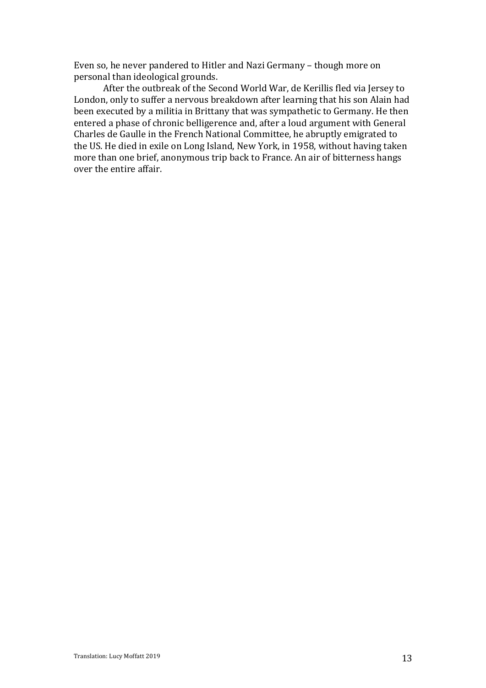Even so, he never pandered to Hitler and Nazi Germany - though more on personal than ideological grounds.

After the outbreak of the Second World War, de Kerillis fled via Jersey to London, only to suffer a nervous breakdown after learning that his son Alain had been executed by a militia in Brittany that was sympathetic to Germany. He then entered a phase of chronic belligerence and, after a loud argument with General Charles de Gaulle in the French National Committee, he abruptly emigrated to the US. He died in exile on Long Island, New York, in 1958, without having taken more than one brief, anonymous trip back to France. An air of bitterness hangs over the entire affair.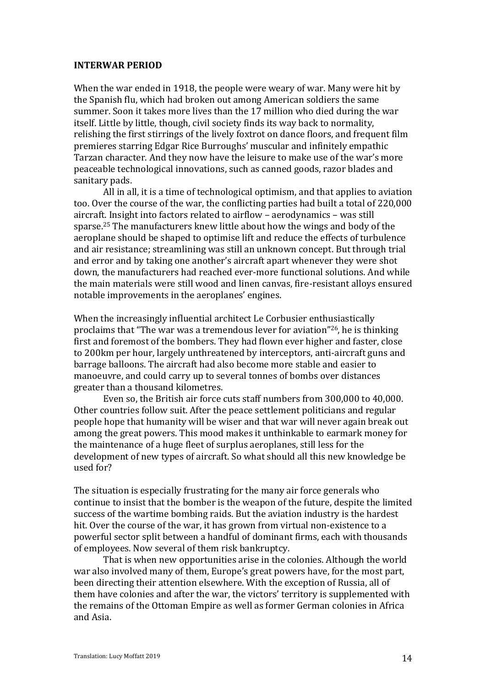## **INTERWAR PERIOD**

When the war ended in 1918, the people were weary of war. Many were hit by the Spanish flu, which had broken out among American soldiers the same summer. Soon it takes more lives than the 17 million who died during the war itself. Little by little, though, civil society finds its way back to normality, relishing the first stirrings of the lively foxtrot on dance floors, and frequent film premieres starring Edgar Rice Burroughs' muscular and infinitely empathic Tarzan character. And they now have the leisure to make use of the war's more peaceable technological innovations, such as canned goods, razor blades and sanitary pads.

All in all, it is a time of technological optimism, and that applies to aviation too. Over the course of the war, the conflicting parties had built a total of 220,000 aircraft. Insight into factors related to airflow - aerodynamics - was still sparse.<sup>25</sup> The manufacturers knew little about how the wings and body of the aeroplane should be shaped to optimise lift and reduce the effects of turbulence and air resistance; streamlining was still an unknown concept. But through trial and error and by taking one another's aircraft apart whenever they were shot down, the manufacturers had reached ever-more functional solutions. And while the main materials were still wood and linen canvas, fire-resistant alloys ensured notable improvements in the aeroplanes' engines.

When the increasingly influential architect Le Corbusier enthusiastically proclaims that "The war was a tremendous lever for aviation"<sup>26</sup>, he is thinking first and foremost of the bombers. They had flown ever higher and faster, close to 200km per hour, largely unthreatened by interceptors, anti-aircraft guns and barrage balloons. The aircraft had also become more stable and easier to manoeuvre, and could carry up to several tonnes of bombs over distances greater than a thousand kilometres.

Even so, the British air force cuts staff numbers from 300,000 to 40,000. Other countries follow suit. After the peace settlement politicians and regular people hope that humanity will be wiser and that war will never again break out among the great powers. This mood makes it unthinkable to earmark money for the maintenance of a huge fleet of surplus aeroplanes, still less for the development of new types of aircraft. So what should all this new knowledge be used for?

The situation is especially frustrating for the many air force generals who continue to insist that the bomber is the weapon of the future, despite the limited success of the wartime bombing raids. But the aviation industry is the hardest hit. Over the course of the war, it has grown from virtual non-existence to a powerful sector split between a handful of dominant firms, each with thousands of employees. Now several of them risk bankruptcy.

That is when new opportunities arise in the colonies. Although the world war also involved many of them, Europe's great powers have, for the most part, been directing their attention elsewhere. With the exception of Russia, all of them have colonies and after the war, the victors' territory is supplemented with the remains of the Ottoman Empire as well as former German colonies in Africa and Asia.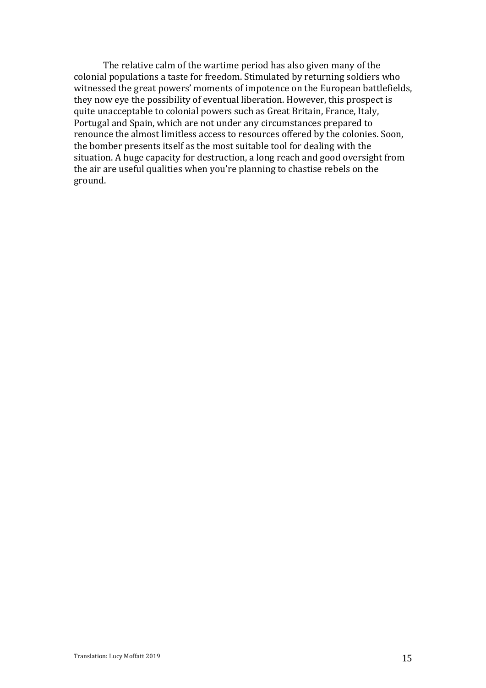The relative calm of the wartime period has also given many of the colonial populations a taste for freedom. Stimulated by returning soldiers who witnessed the great powers' moments of impotence on the European battlefields, they now eye the possibility of eventual liberation. However, this prospect is quite unacceptable to colonial powers such as Great Britain, France, Italy, Portugal and Spain, which are not under any circumstances prepared to renounce the almost limitless access to resources offered by the colonies. Soon, the bomber presents itself as the most suitable tool for dealing with the situation. A huge capacity for destruction, a long reach and good oversight from the air are useful qualities when you're planning to chastise rebels on the ground.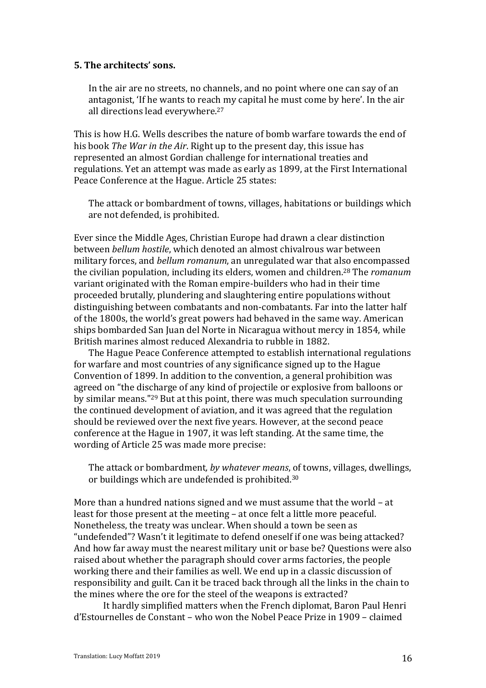# **5.** The architects' sons.

In the air are no streets, no channels, and no point where one can say of an antagonist, 'If he wants to reach my capital he must come by here'. In the air all directions lead everywhere.<sup>27</sup>

This is how H.G. Wells describes the nature of bomb warfare towards the end of his book *The War in the Air*. Right up to the present day, this issue has represented an almost Gordian challenge for international treaties and regulations. Yet an attempt was made as early as 1899, at the First International Peace Conference at the Hague. Article 25 states:

The attack or bombardment of towns, villages, habitations or buildings which are not defended, is prohibited.

Ever since the Middle Ages, Christian Europe had drawn a clear distinction between *bellum hostile*, which denoted an almost chivalrous war between military forces, and *bellum romanum*, an unregulated war that also encompassed the civilian population, including its elders, women and children.<sup>28</sup> The *romanum* variant originated with the Roman empire-builders who had in their time proceeded brutally, plundering and slaughtering entire populations without distinguishing between combatants and non-combatants. Far into the latter half of the 1800s, the world's great powers had behaved in the same way. American ships bombarded San Juan del Norte in Nicaragua without mercy in 1854, while British marines almost reduced Alexandria to rubble in 1882.

The Hague Peace Conference attempted to establish international regulations for warfare and most countries of any significance signed up to the Hague Convention of 1899. In addition to the convention, a general prohibition was agreed on "the discharge of any kind of projectile or explosive from balloons or by similar means."<sup>29</sup> But at this point, there was much speculation surrounding the continued development of aviation, and it was agreed that the regulation should be reviewed over the next five years. However, at the second peace conference at the Hague in 1907, it was left standing. At the same time, the wording of Article 25 was made more precise:

The attack or bombardment, by whatever means, of towns, villages, dwellings, or buildings which are undefended is prohibited.<sup>30</sup>

More than a hundred nations signed and we must assume that the world  $-$  at least for those present at the meeting – at once felt a little more peaceful. Nonetheless, the treaty was unclear. When should a town be seen as "undefended"? Wasn't it legitimate to defend oneself if one was being attacked? And how far away must the nearest military unit or base be? Questions were also raised about whether the paragraph should cover arms factories, the people working there and their families as well. We end up in a classic discussion of responsibility and guilt. Can it be traced back through all the links in the chain to the mines where the ore for the steel of the weapons is extracted?

It hardly simplified matters when the French diplomat, Baron Paul Henri  $d'Estournelles de Constant – who won the Nobel Peace Prize in 1909 – claimed$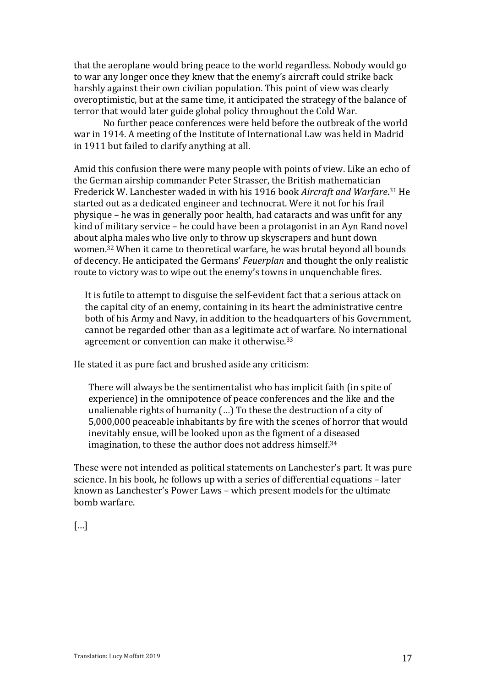that the aeroplane would bring peace to the world regardless. Nobody would go to war any longer once they knew that the enemy's aircraft could strike back harshly against their own civilian population. This point of view was clearly overoptimistic, but at the same time, it anticipated the strategy of the balance of terror that would later guide global policy throughout the Cold War.

No further peace conferences were held before the outbreak of the world war in 1914. A meeting of the Institute of International Law was held in Madrid in 1911 but failed to clarify anything at all.

Amid this confusion there were many people with points of view. Like an echo of the German airship commander Peter Strasser, the British mathematician Frederick W. Lanchester waded in with his 1916 book Aircraft and Warfare.<sup>31</sup> He started out as a dedicated engineer and technocrat. Were it not for his frail physique – he was in generally poor health, had cataracts and was unfit for any kind of military service  $-$  he could have been a protagonist in an Ayn Rand novel about alpha males who live only to throw up skyscrapers and hunt down women.<sup>32</sup> When it came to theoretical warfare, he was brutal beyond all bounds of decency. He anticipated the Germans' *Feuerplan* and thought the only realistic route to victory was to wipe out the enemy's towns in unquenchable fires.

It is futile to attempt to disguise the self-evident fact that a serious attack on the capital city of an enemy, containing in its heart the administrative centre both of his Army and Navy, in addition to the headquarters of his Government, cannot be regarded other than as a legitimate act of warfare. No international agreement or convention can make it otherwise. $33$ 

He stated it as pure fact and brushed aside any criticism:

There will always be the sentimentalist who has implicit faith (in spite of experience) in the omnipotence of peace conferences and the like and the unalienable rights of humanity  $(...)$  To these the destruction of a city of 5,000,000 peaceable inhabitants by fire with the scenes of horror that would inevitably ensue, will be looked upon as the figment of a diseased imagination, to these the author does not address himself.<sup>34</sup>

These were not intended as political statements on Lanchester's part. It was pure science. In his book, he follows up with a series of differential equations - later known as Lanchester's Power Laws - which present models for the ultimate bomb warfare.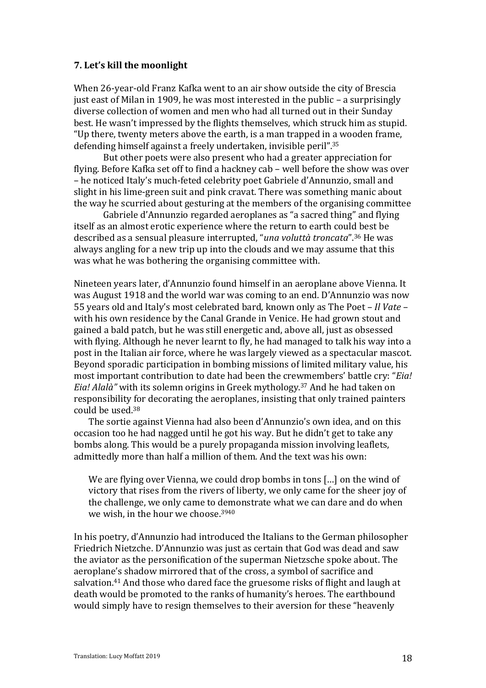## **7. Let's kill the moonlight**

When 26-year-old Franz Kafka went to an air show outside the city of Brescia just east of Milan in 1909, he was most interested in the public  $-$  a surprisingly diverse collection of women and men who had all turned out in their Sunday best. He wasn't impressed by the flights themselves, which struck him as stupid. "Up there, twenty meters above the earth, is a man trapped in a wooden frame, defending himself against a freely undertaken, invisible peril".<sup>35</sup>

But other poets were also present who had a greater appreciation for flying. Before Kafka set off to find a hackney cab – well before the show was over – he noticed Italy's much-feted celebrity poet Gabriele d'Annunzio, small and slight in his lime-green suit and pink cravat. There was something manic about the way he scurried about gesturing at the members of the organising committee

Gabriele d'Annunzio regarded aeroplanes as "a sacred thing" and flying itself as an almost erotic experience where the return to earth could best be described as a sensual pleasure interrupted, "*una voluttà troncata*".<sup>36</sup> He was always angling for a new trip up into the clouds and we may assume that this was what he was bothering the organising committee with.

Nineteen vears later, d'Annunzio found himself in an aeroplane above Vienna. It was August 1918 and the world war was coming to an end. D'Annunzio was now 55 years old and Italy's most celebrated bard, known only as The Poet – *Il Vate* – with his own residence by the Canal Grande in Venice. He had grown stout and gained a bald patch, but he was still energetic and, above all, just as obsessed with flying. Although he never learnt to fly, he had managed to talk his way into a post in the Italian air force, where he was largely viewed as a spectacular mascot. Beyond sporadic participation in bombing missions of limited military value, his most important contribution to date had been the crewmembers' battle cry: "*Eia! Eia! Alalà*" with its solemn origins in Greek mythology.<sup>37</sup> And he had taken on responsibility for decorating the aeroplanes, insisting that only trained painters could be used. $38$ 

The sortie against Vienna had also been d'Annunzio's own idea, and on this occasion too he had nagged until he got his way. But he didn't get to take any bombs along. This would be a purely propaganda mission involving leaflets, admittedly more than half a million of them. And the text was his own:

We are flying over Vienna, we could drop bombs in tons  $\lceil ... \rceil$  on the wind of victory that rises from the rivers of liberty, we only came for the sheer joy of the challenge, we only came to demonstrate what we can dare and do when we wish, in the hour we choose.<sup>3940</sup>

In his poetry, d'Annunzio had introduced the Italians to the German philosopher Friedrich Nietzche. D'Annunzio was just as certain that God was dead and saw the aviator as the personification of the superman Nietzsche spoke about. The aeroplane's shadow mirrored that of the cross, a symbol of sacrifice and salvation.<sup>41</sup> And those who dared face the gruesome risks of flight and laugh at death would be promoted to the ranks of humanity's heroes. The earthbound would simply have to resign themselves to their aversion for these "heavenly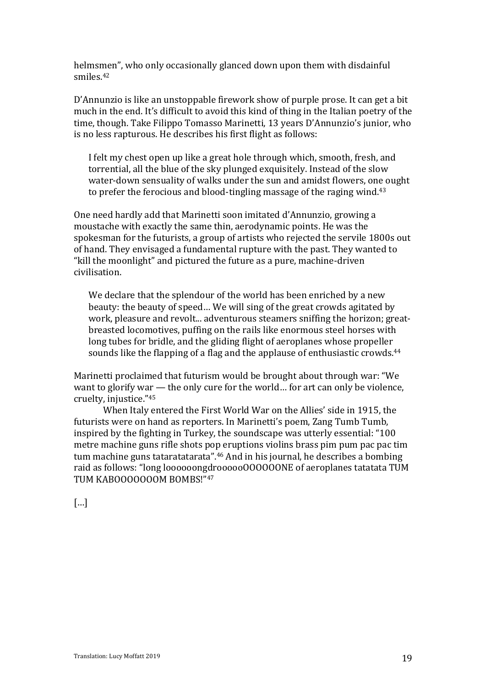helmsmen", who only occasionally glanced down upon them with disdainful smiles.42

D'Annunzio is like an unstoppable firework show of purple prose. It can get a bit much in the end. It's difficult to avoid this kind of thing in the Italian poetry of the time, though. Take Filippo Tomasso Marinetti, 13 years D'Annunzio's junior, who is no less rapturous. He describes his first flight as follows:

I felt my chest open up like a great hole through which, smooth, fresh, and torrential, all the blue of the sky plunged exquisitely. Instead of the slow water-down sensuality of walks under the sun and amidst flowers, one ought to prefer the ferocious and blood-tingling massage of the raging wind.<sup>43</sup>

One need hardly add that Marinetti soon imitated d'Annunzio, growing a moustache with exactly the same thin, aerodynamic points. He was the spokesman for the futurists, a group of artists who rejected the servile 1800s out of hand. They envisaged a fundamental rupture with the past. They wanted to "kill the moonlight" and pictured the future as a pure, machine-driven civilisation.

We declare that the splendour of the world has been enriched by a new beauty: the beauty of speed... We will sing of the great crowds agitated by work, pleasure and revolt... adventurous steamers sniffing the horizon: greatbreasted locomotives, puffing on the rails like enormous steel horses with long tubes for bridle, and the gliding flight of aeroplanes whose propeller sounds like the flapping of a flag and the applause of enthusiastic crowds.<sup>44</sup>

Marinetti proclaimed that futurism would be brought about through war: "We want to glorify war  $-$  the only cure for the world... for art can only be violence, cruelty, injustice."45

When Italy entered the First World War on the Allies' side in 1915, the futurists were on hand as reporters. In Marinetti's poem, Zang Tumb Tumb, inspired by the fighting in Turkey, the soundscape was utterly essential: "100 metre machine guns rifle shots pop eruptions violins brass pim pum pac pac tim tum machine guns tataratatarata".<sup>46</sup> And in his journal, he describes a bombing raid as follows: "long loooooongdroooooOOOOOONE of aeroplanes tatatata TUM TUM KABOOOOOOOM BOMBS!"47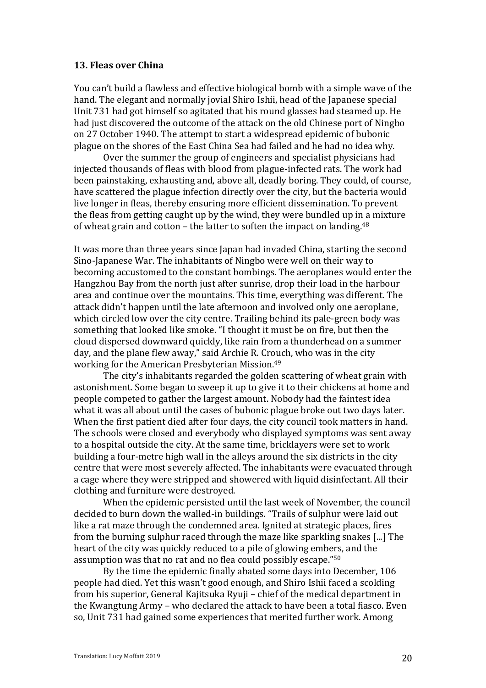#### **13. Fleas over China**

You can't build a flawless and effective biological bomb with a simple wave of the hand. The elegant and normally jovial Shiro Ishii, head of the Japanese special Unit 731 had got himself so agitated that his round glasses had steamed up. He had just discovered the outcome of the attack on the old Chinese port of Ningbo on 27 October 1940. The attempt to start a widespread epidemic of bubonic plague on the shores of the East China Sea had failed and he had no idea why.

Over the summer the group of engineers and specialist physicians had injected thousands of fleas with blood from plague-infected rats. The work had been painstaking, exhausting and, above all, deadly boring. They could, of course, have scattered the plague infection directly over the city, but the bacteria would live longer in fleas, thereby ensuring more efficient dissemination. To prevent the fleas from getting caught up by the wind, they were bundled up in a mixture of wheat grain and cotton - the latter to soften the impact on landing.<sup>48</sup>

It was more than three years since Japan had invaded China, starting the second Sino-Japanese War. The inhabitants of Ningbo were well on their way to becoming accustomed to the constant bombings. The aeroplanes would enter the Hangzhou Bay from the north just after sunrise, drop their load in the harbour area and continue over the mountains. This time, everything was different. The attack didn't happen until the late afternoon and involved only one aeroplane. which circled low over the city centre. Trailing behind its pale-green body was something that looked like smoke. "I thought it must be on fire, but then the cloud dispersed downward quickly, like rain from a thunderhead on a summer day, and the plane flew away," said Archie R. Crouch, who was in the city working for the American Presbyterian Mission.<sup>49</sup>

The city's inhabitants regarded the golden scattering of wheat grain with astonishment. Some began to sweep it up to give it to their chickens at home and people competed to gather the largest amount. Nobody had the faintest idea what it was all about until the cases of bubonic plague broke out two days later. When the first patient died after four days, the city council took matters in hand. The schools were closed and everybody who displayed symptoms was sent away to a hospital outside the city. At the same time, bricklayers were set to work building a four-metre high wall in the alleys around the six districts in the city centre that were most severely affected. The inhabitants were evacuated through a cage where they were stripped and showered with liquid disinfectant. All their clothing and furniture were destroyed.

When the epidemic persisted until the last week of November, the council decided to burn down the walled-in buildings. "Trails of sulphur were laid out like a rat maze through the condemned area. Ignited at strategic places, fires from the burning sulphur raced through the maze like sparkling snakes [...] The heart of the city was quickly reduced to a pile of glowing embers, and the assumption was that no rat and no flea could possibly escape."<sup>50</sup>

By the time the epidemic finally abated some days into December, 106 people had died. Yet this wasn't good enough, and Shiro Ishii faced a scolding from his superior, General Kajitsuka Ryuji – chief of the medical department in the Kwangtung Army – who declared the attack to have been a total fiasco. Even so, Unit 731 had gained some experiences that merited further work. Among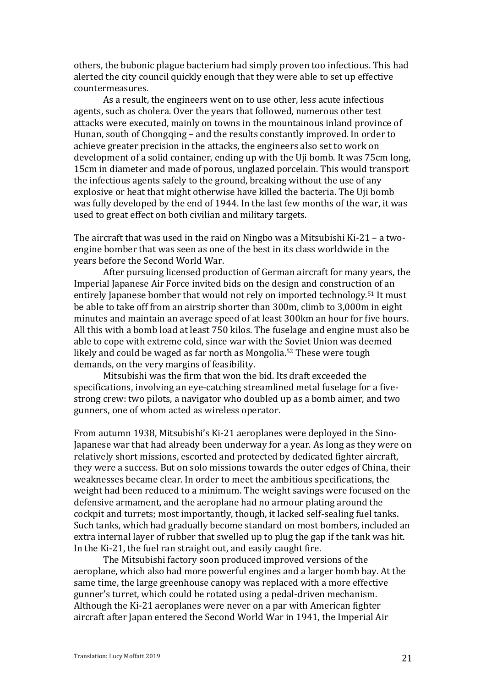others, the bubonic plague bacterium had simply proven too infectious. This had alerted the city council quickly enough that they were able to set up effective countermeasures.

As a result, the engineers went on to use other, less acute infectious agents, such as cholera. Over the years that followed, numerous other test attacks were executed, mainly on towns in the mountainous inland province of Hunan, south of Chongqing – and the results constantly improved. In order to achieve greater precision in the attacks, the engineers also set to work on development of a solid container, ending up with the Uji bomb. It was 75cm long, 15cm in diameter and made of porous, unglazed porcelain. This would transport the infectious agents safely to the ground, breaking without the use of any explosive or heat that might otherwise have killed the bacteria. The Uji bomb was fully developed by the end of 1944. In the last few months of the war, it was used to great effect on both civilian and military targets.

The aircraft that was used in the raid on Ningbo was a Mitsubishi Ki-21 – a twoengine bomber that was seen as one of the best in its class worldwide in the years before the Second World War.

After pursuing licensed production of German aircraft for many years, the Imperial Japanese Air Force invited bids on the design and construction of an entirely Japanese bomber that would not rely on imported technology.<sup>51</sup> It must be able to take off from an airstrip shorter than 300m, climb to 3,000m in eight minutes and maintain an average speed of at least 300km an hour for five hours. All this with a bomb load at least 750 kilos. The fuselage and engine must also be able to cope with extreme cold, since war with the Soviet Union was deemed likely and could be waged as far north as Mongolia.<sup>52</sup> These were tough demands, on the very margins of feasibility.

Mitsubishi was the firm that won the bid. Its draft exceeded the specifications, involving an eye-catching streamlined metal fuselage for a fivestrong crew: two pilots, a navigator who doubled up as a bomb aimer, and two gunners, one of whom acted as wireless operator.

From autumn 1938, Mitsubishi's Ki-21 aeroplanes were deployed in the Sino-Japanese war that had already been underway for a year. As long as they were on relatively short missions, escorted and protected by dedicated fighter aircraft, they were a success. But on solo missions towards the outer edges of China, their weaknesses became clear. In order to meet the ambitious specifications, the weight had been reduced to a minimum. The weight savings were focused on the defensive armament, and the aeroplane had no armour plating around the cockpit and turrets; most importantly, though, it lacked self-sealing fuel tanks. Such tanks, which had gradually become standard on most bombers, included an extra internal layer of rubber that swelled up to plug the gap if the tank was hit. In the Ki-21, the fuel ran straight out, and easily caught fire.

The Mitsubishi factory soon produced improved versions of the aeroplane, which also had more powerful engines and a larger bomb bay. At the same time, the large greenhouse canopy was replaced with a more effective gunner's turret, which could be rotated using a pedal-driven mechanism. Although the Ki-21 aeroplanes were never on a par with American fighter aircraft after Japan entered the Second World War in 1941, the Imperial Air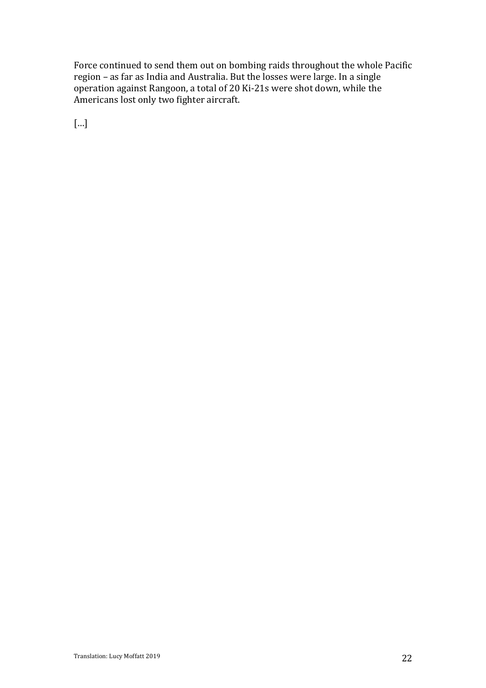Force continued to send them out on bombing raids throughout the whole Pacific region – as far as India and Australia. But the losses were large. In a single operation against Rangoon, a total of 20 Ki-21s were shot down, while the Americans lost only two fighter aircraft.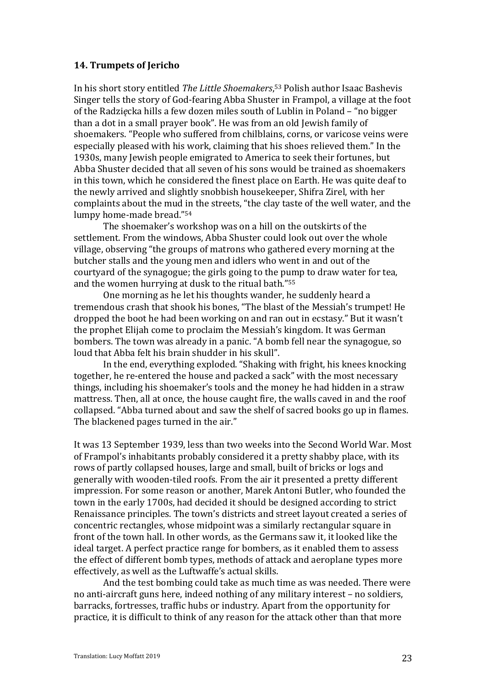## **14. Trumpets of Jericho**

In his short story entitled *The Little Shoemakers*,<sup>53</sup> Polish author Isaac Bashevis Singer tells the story of God-fearing Abba Shuster in Frampol, a village at the foot of the Radzięcka hills a few dozen miles south of Lublin in Poland – "no bigger than a dot in a small prayer book". He was from an old Jewish family of shoemakers. "People who suffered from chilblains, corns, or varicose veins were especially pleased with his work, claiming that his shoes relieved them." In the 1930s, many Jewish people emigrated to America to seek their fortunes, but Abba Shuster decided that all seven of his sons would be trained as shoemakers in this town, which he considered the finest place on Earth. He was quite deaf to the newly arrived and slightly snobbish housekeeper, Shifra Zirel, with her complaints about the mud in the streets, "the clay taste of the well water, and the lumpy home-made bread."<sup>54</sup>

The shoemaker's workshop was on a hill on the outskirts of the settlement. From the windows, Abba Shuster could look out over the whole village, observing "the groups of matrons who gathered every morning at the butcher stalls and the young men and idlers who went in and out of the courtyard of the synagogue; the girls going to the pump to draw water for tea, and the women hurrying at dusk to the ritual bath." $55$ 

One morning as he let his thoughts wander, he suddenly heard a tremendous crash that shook his bones, "The blast of the Messiah's trumpet! He dropped the boot he had been working on and ran out in ecstasy." But it wasn't the prophet Elijah come to proclaim the Messiah's kingdom. It was German bombers. The town was already in a panic. "A bomb fell near the synagogue, so loud that Abba felt his brain shudder in his skull".

In the end, everything exploded. "Shaking with fright, his knees knocking together, he re-entered the house and packed a sack" with the most necessary things, including his shoemaker's tools and the money he had hidden in a straw mattress. Then, all at once, the house caught fire, the walls caved in and the roof collapsed. "Abba turned about and saw the shelf of sacred books go up in flames. The blackened pages turned in the air."

It was 13 September 1939, less than two weeks into the Second World War, Most of Frampol's inhabitants probably considered it a pretty shabby place, with its rows of partly collapsed houses, large and small, built of bricks or logs and generally with wooden-tiled roofs. From the air it presented a pretty different impression. For some reason or another, Marek Antoni Butler, who founded the town in the early 1700s, had decided it should be designed according to strict Renaissance principles. The town's districts and street layout created a series of concentric rectangles, whose midpoint was a similarly rectangular square in front of the town hall. In other words, as the Germans saw it, it looked like the ideal target. A perfect practice range for bombers, as it enabled them to assess the effect of different bomb types, methods of attack and aeroplane types more effectively, as well as the Luftwaffe's actual skills.

And the test bombing could take as much time as was needed. There were no anti-aircraft guns here, indeed nothing of any military interest – no soldiers, barracks, fortresses, traffic hubs or industry. Apart from the opportunity for practice, it is difficult to think of any reason for the attack other than that more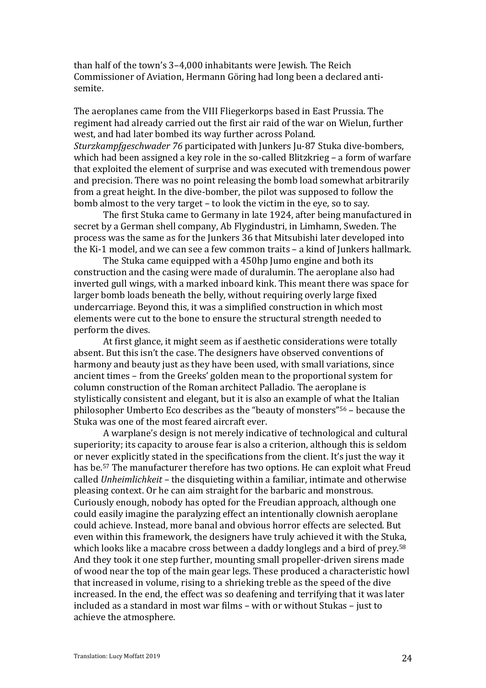than half of the town's 3-4,000 inhabitants were Jewish. The Reich Commissioner of Aviation, Hermann Göring had long been a declared antisemite.

The aeroplanes came from the VIII Fliegerkorps based in East Prussia. The regiment had already carried out the first air raid of the war on Wielun, further west, and had later bombed its way further across Poland. *Sturzkampfgeschwader* 76 participated with Junkers Ju-87 Stuka dive-bombers, which had been assigned a key role in the so-called Blitzkrieg  $-$  a form of warfare that exploited the element of surprise and was executed with tremendous power and precision. There was no point releasing the bomb load somewhat arbitrarily from a great height. In the dive-bomber, the pilot was supposed to follow the bomb almost to the very target – to look the victim in the eye, so to say.

The first Stuka came to Germany in late 1924, after being manufactured in secret by a German shell company, Ab Flygindustri, in Limhamn, Sweden. The process was the same as for the Junkers 36 that Mitsubishi later developed into the Ki-1 model, and we can see a few common traits  $-$  a kind of Junkers hallmark.

The Stuka came equipped with a 450hp Jumo engine and both its construction and the casing were made of duralumin. The aeroplane also had inverted gull wings, with a marked inboard kink. This meant there was space for larger bomb loads beneath the belly, without requiring overly large fixed undercarriage. Beyond this, it was a simplified construction in which most elements were cut to the bone to ensure the structural strength needed to perform the dives.

At first glance, it might seem as if aesthetic considerations were totally absent. But this isn't the case. The designers have observed conventions of harmony and beauty just as they have been used, with small variations, since ancient times – from the Greeks' golden mean to the proportional system for column construction of the Roman architect Palladio. The aeroplane is stylistically consistent and elegant, but it is also an example of what the Italian philosopher Umberto Eco describes as the "beauty of monsters"<sup>56</sup> – because the Stuka was one of the most feared aircraft ever.

A warplane's design is not merely indicative of technological and cultural superiority; its capacity to arouse fear is also a criterion, although this is seldom or never explicitly stated in the specifications from the client. It's just the way it has be.<sup>57</sup> The manufacturer therefore has two options. He can exploit what Freud called *Unheimlichkeit* – the disquieting within a familiar, intimate and otherwise pleasing context. Or he can aim straight for the barbaric and monstrous. Curiously enough, nobody has opted for the Freudian approach, although one could easily imagine the paralyzing effect an intentionally clownish aeroplane could achieve. Instead, more banal and obvious horror effects are selected. But even within this framework, the designers have truly achieved it with the Stuka, which looks like a macabre cross between a daddy longlegs and a bird of prey.<sup>58</sup> And they took it one step further, mounting small propeller-driven sirens made of wood near the top of the main gear legs. These produced a characteristic howl that increased in volume, rising to a shrieking treble as the speed of the dive increased. In the end, the effect was so deafening and terrifying that it was later included as a standard in most war films - with or without Stukas - just to achieve the atmosphere.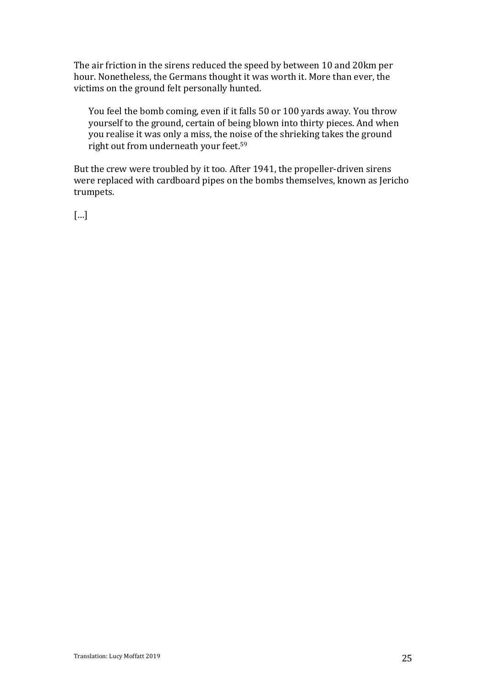The air friction in the sirens reduced the speed by between 10 and 20km per hour. Nonetheless, the Germans thought it was worth it. More than ever, the victims on the ground felt personally hunted.

You feel the bomb coming, even if it falls 50 or 100 yards away. You throw yourself to the ground, certain of being blown into thirty pieces. And when you realise it was only a miss, the noise of the shrieking takes the ground right out from underneath your feet.<sup>59</sup>

But the crew were troubled by it too. After 1941, the propeller-driven sirens were replaced with cardboard pipes on the bombs themselves, known as Jericho trumpets.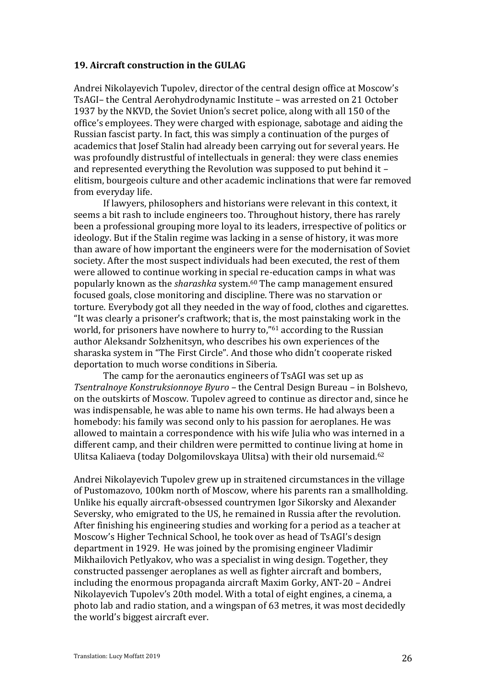#### **19. Aircraft construction in the GULAG**

Andrei Nikolayevich Tupolev, director of the central design office at Moscow's TsAGI- the Central Aerohydrodynamic Institute - was arrested on 21 October 1937 by the NKVD, the Soviet Union's secret police, along with all 150 of the office's employees. They were charged with espionage, sabotage and aiding the Russian fascist party. In fact, this was simply a continuation of the purges of academics that Josef Stalin had already been carrying out for several years. He was profoundly distrustful of intellectuals in general: they were class enemies and represented everything the Revolution was supposed to put behind it  $$ elitism, bourgeois culture and other academic inclinations that were far removed from everyday life.

If lawyers, philosophers and historians were relevant in this context, it seems a bit rash to include engineers too. Throughout history, there has rarely been a professional grouping more loyal to its leaders, irrespective of politics or ideology. But if the Stalin regime was lacking in a sense of history, it was more than aware of how important the engineers were for the modernisation of Soviet society. After the most suspect individuals had been executed, the rest of them were allowed to continue working in special re-education camps in what was popularly known as the *sharashka* system.<sup>60</sup> The camp management ensured focused goals, close monitoring and discipline. There was no starvation or torture. Everybody got all they needed in the way of food, clothes and cigarettes. "It was clearly a prisoner's craftwork: that is, the most painstaking work in the world, for prisoners have nowhere to hurry to," $61$  according to the Russian author Aleksandr Solzhenitsyn, who describes his own experiences of the sharaska system in "The First Circle". And those who didn't cooperate risked deportation to much worse conditions in Siberia.

The camp for the aeronautics engineers of TsAGI was set up as *Tsentralnoye Konstruksionnoye Byuro* – the Central Design Bureau – in Bolshevo, on the outskirts of Moscow. Tupolev agreed to continue as director and, since he was indispensable, he was able to name his own terms. He had always been a homebody: his family was second only to his passion for aeroplanes. He was allowed to maintain a correspondence with his wife Julia who was interned in a different camp, and their children were permitted to continue living at home in Ulitsa Kaliaeva (today Dolgomilovskaya Ulitsa) with their old nursemaid.<sup>62</sup>

Andrei Nikolayevich Tupolev grew up in straitened circumstances in the village of Pustomazovo, 100km north of Moscow, where his parents ran a smallholding. Unlike his equally aircraft-obsessed countrymen Igor Sikorsky and Alexander Seversky, who emigrated to the US, he remained in Russia after the revolution. After finishing his engineering studies and working for a period as a teacher at Moscow's Higher Technical School, he took over as head of TsAGI's design department in 1929. He was joined by the promising engineer Vladimir Mikhailovich Petlyakov, who was a specialist in wing design. Together, they constructed passenger aeroplanes as well as fighter aircraft and bombers, including the enormous propaganda aircraft Maxim Gorky, ANT-20 - Andrei Nikolayevich Tupolev's 20th model. With a total of eight engines, a cinema, a photo lab and radio station, and a wingspan of 63 metres, it was most decidedly the world's biggest aircraft ever.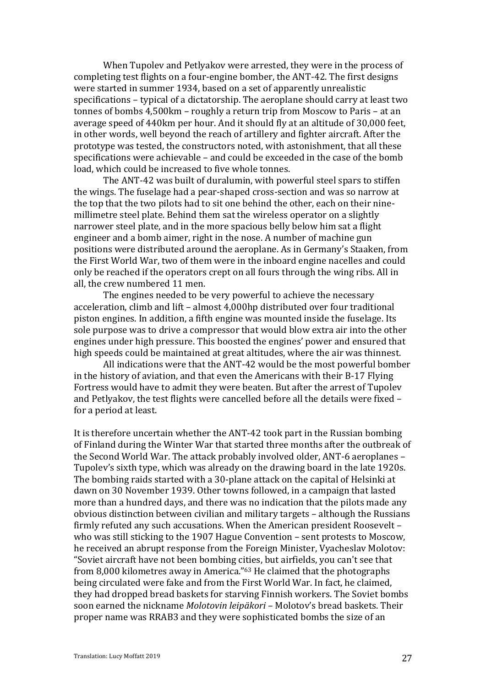When Tupolev and Petlyakov were arrested, they were in the process of completing test flights on a four-engine bomber, the ANT-42. The first designs were started in summer 1934, based on a set of apparently unrealistic specifications - typical of a dictatorship. The aeroplane should carry at least two tonnes of bombs  $4,500$ km – roughly a return trip from Moscow to Paris – at an average speed of 440km per hour. And it should fly at an altitude of 30,000 feet, in other words, well beyond the reach of artillery and fighter aircraft. After the prototype was tested, the constructors noted, with astonishment, that all these specifications were achievable  $-$  and could be exceeded in the case of the bomb load, which could be increased to five whole tonnes.

The ANT-42 was built of duralumin, with powerful steel spars to stiffen the wings. The fuselage had a pear-shaped cross-section and was so narrow at the top that the two pilots had to sit one behind the other, each on their ninemillimetre steel plate. Behind them sat the wireless operator on a slightly narrower steel plate, and in the more spacious belly below him sat a flight engineer and a bomb aimer, right in the nose. A number of machine gun positions were distributed around the aeroplane. As in Germany's Staaken, from the First World War, two of them were in the inboard engine nacelles and could only be reached if the operators crept on all fours through the wing ribs. All in all, the crew numbered 11 men.

The engines needed to be very powerful to achieve the necessary acceleration, climb and lift - almost 4,000hp distributed over four traditional piston engines. In addition, a fifth engine was mounted inside the fuselage. Its sole purpose was to drive a compressor that would blow extra air into the other engines under high pressure. This boosted the engines' power and ensured that high speeds could be maintained at great altitudes, where the air was thinnest.

All indications were that the ANT-42 would be the most powerful bomber in the history of aviation, and that even the Americans with their B-17 Flying Fortress would have to admit they were beaten. But after the arrest of Tupolev and Petlyakov, the test flights were cancelled before all the details were fixed  $$ for a period at least.

It is therefore uncertain whether the ANT-42 took part in the Russian bombing of Finland during the Winter War that started three months after the outbreak of the Second World War. The attack probably involved older, ANT-6 aeroplanes -Tupolev's sixth type, which was already on the drawing board in the late 1920s. The bombing raids started with a 30-plane attack on the capital of Helsinki at dawn on 30 November 1939. Other towns followed, in a campaign that lasted more than a hundred days, and there was no indication that the pilots made any obvious distinction between civilian and military targets – although the Russians firmly refuted any such accusations. When the American president Roosevelt who was still sticking to the 1907 Hague Convention  $-$  sent protests to Moscow, he received an abrupt response from the Foreign Minister, Vyacheslav Molotov: "Soviet aircraft have not been bombing cities, but airfields, you can't see that from 8,000 kilometres away in America." $63$  He claimed that the photographs being circulated were fake and from the First World War. In fact, he claimed, they had dropped bread baskets for starving Finnish workers. The Soviet bombs soon earned the nickname *Molotovin leipäkori* – Molotov's bread baskets. Their proper name was RRAB3 and they were sophisticated bombs the size of an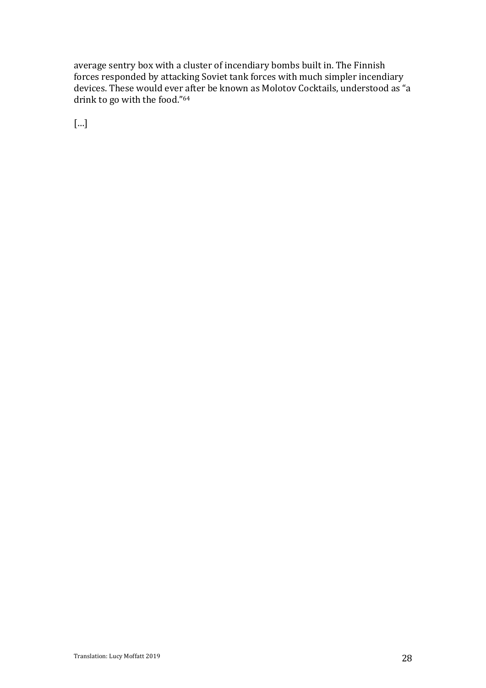average sentry box with a cluster of incendiary bombs built in. The Finnish forces responded by attacking Soviet tank forces with much simpler incendiary devices. These would ever after be known as Molotov Cocktails, understood as "a drink to go with the food."<sup>64</sup>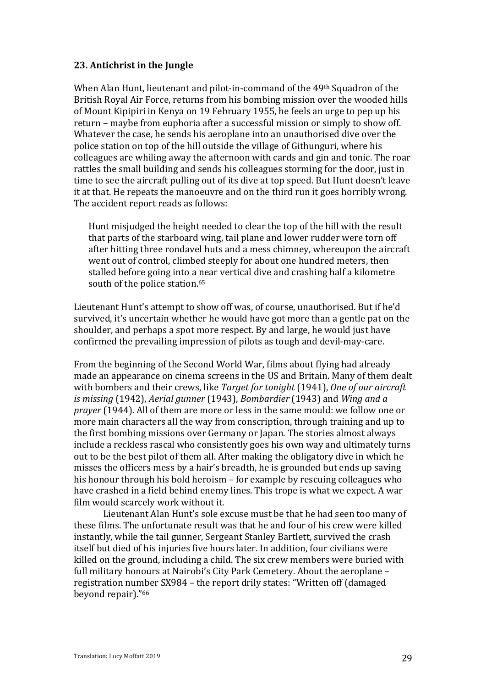# **23.** Antichrist in the Jungle

When Alan Hunt, lieutenant and pilot-in-command of the 49<sup>th</sup> Squadron of the British Royal Air Force, returns from his bombing mission over the wooded hills of Mount Kipipiri in Kenya on 19 February 1955, he feels an urge to pep up his return – maybe from euphoria after a successful mission or simply to show off. Whatever the case, he sends his aeroplane into an unauthorised dive over the police station on top of the hill outside the village of Githunguri, where his colleagues are whiling away the afternoon with cards and gin and tonic. The roar rattles the small building and sends his colleagues storming for the door, just in time to see the aircraft pulling out of its dive at top speed. But Hunt doesn't leave it at that. He repeats the manoeuvre and on the third run it goes horribly wrong. The accident report reads as follows:

Hunt misjudged the height needed to clear the top of the hill with the result that parts of the starboard wing, tail plane and lower rudder were torn off after hitting three rondavel huts and a mess chimney, whereupon the aircraft went out of control, climbed steeply for about one hundred meters, then stalled before going into a near vertical dive and crashing half a kilometre south of the police station.<sup>65</sup>

Lieutenant Hunt's attempt to show off was, of course, unauthorised. But if he'd survived, it's uncertain whether he would have got more than a gentle pat on the shoulder, and perhaps a spot more respect. By and large, he would just have confirmed the prevailing impression of pilots as tough and devil-may-care.

From the beginning of the Second World War, films about flying had already made an appearance on cinema screens in the US and Britain. Many of them dealt with bombers and their crews, like *Target for tonight* (1941), *One of our aircraft is* missing (1942), *Aerial gunner* (1943), *Bombardier* (1943) and *Wing and a prayer* (1944). All of them are more or less in the same mould: we follow one or more main characters all the way from conscription, through training and up to the first bombing missions over Germany or Japan. The stories almost always include a reckless rascal who consistently goes his own way and ultimately turns out to be the best pilot of them all. After making the obligatory dive in which he misses the officers mess by a hair's breadth, he is grounded but ends up saving his honour through his bold heroism - for example by rescuing colleagues who have crashed in a field behind enemy lines. This trope is what we expect. A war film would scarcely work without it.

Lieutenant Alan Hunt's sole excuse must be that he had seen too many of these films. The unfortunate result was that he and four of his crew were killed instantly, while the tail gunner, Sergeant Stanley Bartlett, survived the crash itself but died of his injuries five hours later. In addition, four civilians were killed on the ground, including a child. The six crew members were buried with full military honours at Nairobi's City Park Cemetery. About the aeroplane registration number SX984 - the report drily states: "Written off (damaged beyond repair)."<sup>66</sup>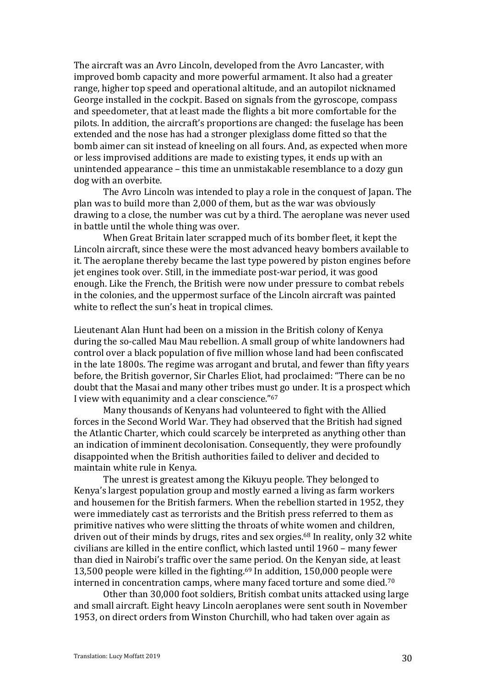The aircraft was an Avro Lincoln, developed from the Avro Lancaster, with improved bomb capacity and more powerful armament. It also had a greater range, higher top speed and operational altitude, and an autopilot nicknamed George installed in the cockpit. Based on signals from the gyroscope, compass and speedometer, that at least made the flights a bit more comfortable for the pilots. In addition, the aircraft's proportions are changed: the fuselage has been extended and the nose has had a stronger plexiglass dome fitted so that the bomb aimer can sit instead of kneeling on all fours. And, as expected when more or less improvised additions are made to existing types, it ends up with an unintended appearance – this time an unmistakable resemblance to a dozy gun dog with an overbite.

The Avro Lincoln was intended to play a role in the conquest of Japan. The plan was to build more than 2,000 of them, but as the war was obviously drawing to a close, the number was cut by a third. The aeroplane was never used in battle until the whole thing was over.

When Great Britain later scrapped much of its bomber fleet, it kept the Lincoln aircraft, since these were the most advanced heavy bombers available to it. The aeroplane thereby became the last type powered by piston engines before jet engines took over. Still, in the immediate post-war period, it was good enough. Like the French, the British were now under pressure to combat rebels in the colonies, and the uppermost surface of the Lincoln aircraft was painted white to reflect the sun's heat in tropical climes.

Lieutenant Alan Hunt had been on a mission in the British colony of Kenya during the so-called Mau Mau rebellion. A small group of white landowners had control over a black population of five million whose land had been confiscated in the late 1800s. The regime was arrogant and brutal, and fewer than fifty years before, the British governor, Sir Charles Eliot, had proclaimed: "There can be no doubt that the Masai and many other tribes must go under. It is a prospect which I view with equanimity and a clear conscience."<sup>67</sup>

Many thousands of Kenyans had volunteered to fight with the Allied forces in the Second World War. They had observed that the British had signed the Atlantic Charter, which could scarcely be interpreted as anything other than an indication of imminent decolonisation. Consequently, they were profoundly disappointed when the British authorities failed to deliver and decided to maintain white rule in Kenya.

The unrest is greatest among the Kikuyu people. They belonged to Kenya's largest population group and mostly earned a living as farm workers and housemen for the British farmers. When the rebellion started in 1952, they were immediately cast as terrorists and the British press referred to them as primitive natives who were slitting the throats of white women and children, driven out of their minds by drugs, rites and sex orgies.<sup>68</sup> In reality, only 32 white civilians are killed in the entire conflict, which lasted until 1960 – many fewer than died in Nairobi's traffic over the same period. On the Kenyan side, at least 13,500 people were killed in the fighting.<sup>69</sup> In addition, 150,000 people were interned in concentration camps, where many faced torture and some died.<sup>70</sup>

Other than 30,000 foot soldiers, British combat units attacked using large and small aircraft. Eight heavy Lincoln aeroplanes were sent south in November 1953, on direct orders from Winston Churchill, who had taken over again as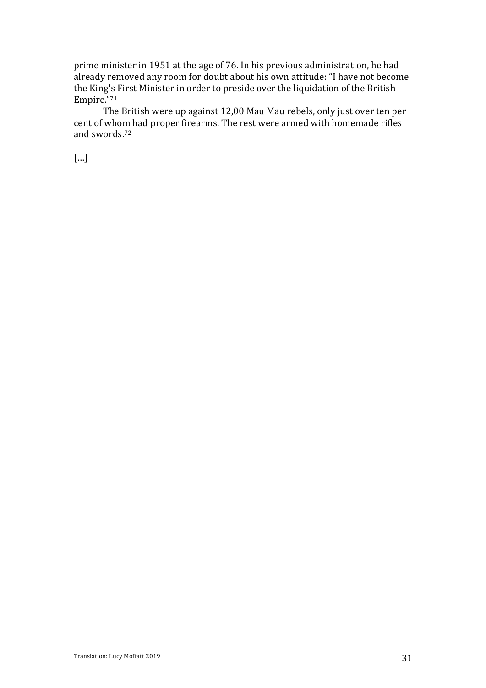prime minister in 1951 at the age of 76. In his previous administration, he had already removed any room for doubt about his own attitude: "I have not become the King's First Minister in order to preside over the liquidation of the British Empire."71

The British were up against 12,00 Mau Mau rebels, only just over ten per cent of whom had proper firearms. The rest were armed with homemade rifles and swords.<sup>72</sup>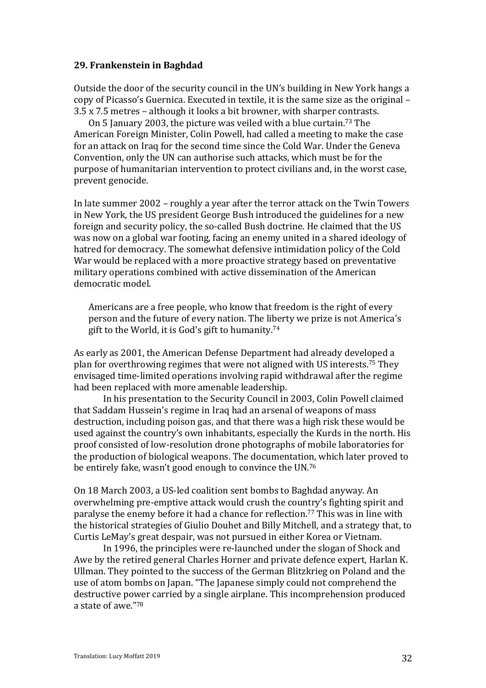## **29. Frankenstein in Baghdad**

Outside the door of the security council in the UN's building in New York hangs a copy of Picasso's Guernica. Executed in textile, it is the same size as the original -3.5 x 7.5 metres – although it looks a bit browner, with sharper contrasts.

On 5 January 2003, the picture was veiled with a blue curtain.<sup>73</sup> The American Foreign Minister, Colin Powell, had called a meeting to make the case for an attack on Iraq for the second time since the Cold War. Under the Geneva Convention, only the UN can authorise such attacks, which must be for the purpose of humanitarian intervention to protect civilians and, in the worst case, prevent genocide.

In late summer  $2002$  – roughly a year after the terror attack on the Twin Towers in New York, the US president George Bush introduced the guidelines for a new foreign and security policy, the so-called Bush doctrine. He claimed that the US was now on a global war footing, facing an enemy united in a shared ideology of hatred for democracy. The somewhat defensive intimidation policy of the Cold War would be replaced with a more proactive strategy based on preventative military operations combined with active dissemination of the American democratic model.

Americans are a free people, who know that freedom is the right of every person and the future of every nation. The liberty we prize is not America's gift to the World, it is God's gift to humanity.<sup>74</sup>

As early as 2001, the American Defense Department had already developed a plan for overthrowing regimes that were not aligned with US interests.<sup>75</sup> They envisaged time-limited operations involving rapid withdrawal after the regime had been replaced with more amenable leadership.

In his presentation to the Security Council in 2003, Colin Powell claimed that Saddam Hussein's regime in Iraq had an arsenal of weapons of mass destruction, including poison gas, and that there was a high risk these would be used against the country's own inhabitants, especially the Kurds in the north. His proof consisted of low-resolution drone photographs of mobile laboratories for the production of biological weapons. The documentation, which later proved to be entirely fake, wasn't good enough to convince the UN.<sup>76</sup>

On 18 March 2003, a US-led coalition sent bombs to Baghdad anyway. An overwhelming pre-emptive attack would crush the country's fighting spirit and paralyse the enemy before it had a chance for reflection.<sup>77</sup> This was in line with the historical strategies of Giulio Douhet and Billy Mitchell, and a strategy that, to Curtis LeMay's great despair, was not pursued in either Korea or Vietnam.

In 1996, the principles were re-launched under the slogan of Shock and Awe by the retired general Charles Horner and private defence expert, Harlan K. Ullman. They pointed to the success of the German Blitzkrieg on Poland and the use of atom bombs on Japan. "The Japanese simply could not comprehend the destructive power carried by a single airplane. This incomprehension produced a state of awe."78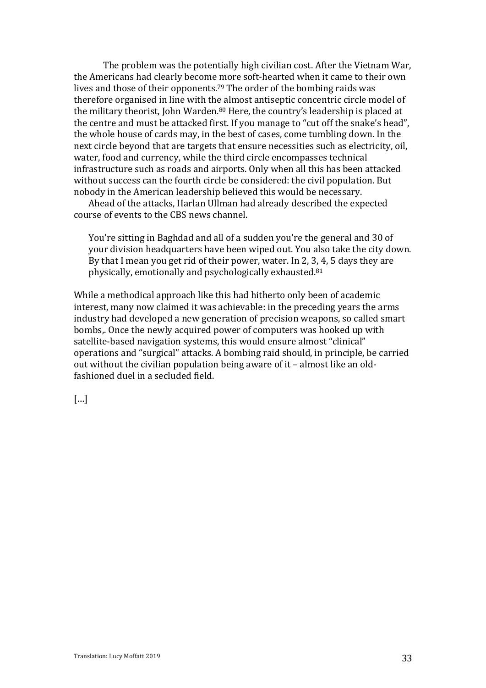The problem was the potentially high civilian cost. After the Vietnam War, the Americans had clearly become more soft-hearted when it came to their own lives and those of their opponents.<sup>79</sup> The order of the bombing raids was therefore organised in line with the almost antiseptic concentric circle model of the military theorist, John Warden.<sup>80</sup> Here, the country's leadership is placed at the centre and must be attacked first. If you manage to "cut off the snake's head", the whole house of cards may, in the best of cases, come tumbling down. In the next circle beyond that are targets that ensure necessities such as electricity, oil, water, food and currency, while the third circle encompasses technical infrastructure such as roads and airports. Only when all this has been attacked without success can the fourth circle be considered: the civil population. But nobody in the American leadership believed this would be necessary.

Ahead of the attacks, Harlan Ullman had already described the expected course of events to the CBS news channel.

You're sitting in Baghdad and all of a sudden you're the general and 30 of your division headquarters have been wiped out. You also take the city down. By that I mean you get rid of their power, water. In 2, 3, 4, 5 days they are physically, emotionally and psychologically exhausted.<sup>81</sup>

While a methodical approach like this had hitherto only been of academic interest, many now claimed it was achievable: in the preceding vears the arms industry had developed a new generation of precision weapons, so called smart bombs,. Once the newly acquired power of computers was hooked up with satellite-based navigation systems, this would ensure almost "clinical" operations and "surgical" attacks. A bombing raid should, in principle, be carried out without the civilian population being aware of it  $-$  almost like an oldfashioned duel in a secluded field.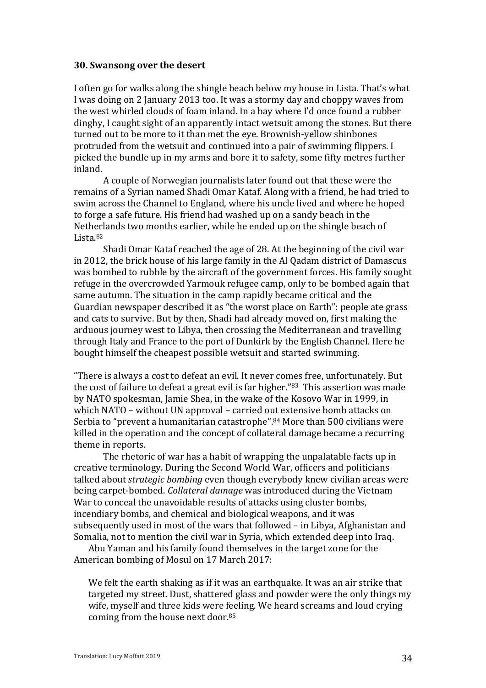#### **30. Swansong over the desert**

I often go for walks along the shingle beach below my house in Lista. That's what I was doing on 2 January 2013 too. It was a stormy day and choppy waves from the west whirled clouds of foam inland. In a bay where I'd once found a rubber dinghy, I caught sight of an apparently intact wetsuit among the stones. But there turned out to be more to it than met the eye. Brownish-yellow shinbones protruded from the wetsuit and continued into a pair of swimming flippers. I picked the bundle up in my arms and bore it to safety, some fifty metres further inland.

A couple of Norwegian journalists later found out that these were the remains of a Syrian named Shadi Omar Kataf. Along with a friend, he had tried to swim across the Channel to England, where his uncle lived and where he hoped to forge a safe future. His friend had washed up on a sandy beach in the Netherlands two months earlier, while he ended up on the shingle beach of Lista.82

Shadi Omar Kataf reached the age of 28. At the beginning of the civil war in 2012, the brick house of his large family in the Al Qadam district of Damascus was bombed to rubble by the aircraft of the government forces. His family sought refuge in the overcrowded Yarmouk refugee camp, only to be bombed again that same autumn. The situation in the camp rapidly became critical and the Guardian newspaper described it as "the worst place on Earth": people ate grass and cats to survive. But by then, Shadi had already moved on, first making the arduous journey west to Libya, then crossing the Mediterranean and travelling through Italy and France to the port of Dunkirk by the English Channel. Here he bought himself the cheapest possible wetsuit and started swimming.

"There is always a cost to defeat an evil. It never comes free, unfortunately. But the cost of failure to defeat a great evil is far higher."<sup>83</sup> This assertion was made by NATO spokesman, Jamie Shea, in the wake of the Kosovo War in 1999, in which NATO – without UN approval – carried out extensive bomb attacks on Serbia to "prevent a humanitarian catastrophe".<sup>84</sup> More than 500 civilians were killed in the operation and the concept of collateral damage became a recurring theme in reports.

The rhetoric of war has a habit of wrapping the unpalatable facts up in creative terminology. During the Second World War, officers and politicians talked about *strategic bombing* even though everybody knew civilian areas were being carpet-bombed. *Collateral damage* was introduced during the Vietnam War to conceal the unavoidable results of attacks using cluster bombs, incendiary bombs, and chemical and biological weapons, and it was subsequently used in most of the wars that followed – in Libya, Afghanistan and Somalia, not to mention the civil war in Syria, which extended deep into Iraq.

Abu Yaman and his family found themselves in the target zone for the American bombing of Mosul on 17 March 2017:

We felt the earth shaking as if it was an earthquake. It was an air strike that targeted my street. Dust, shattered glass and powder were the only things my wife, myself and three kids were feeling. We heard screams and loud crying coming from the house next door.<sup>85</sup>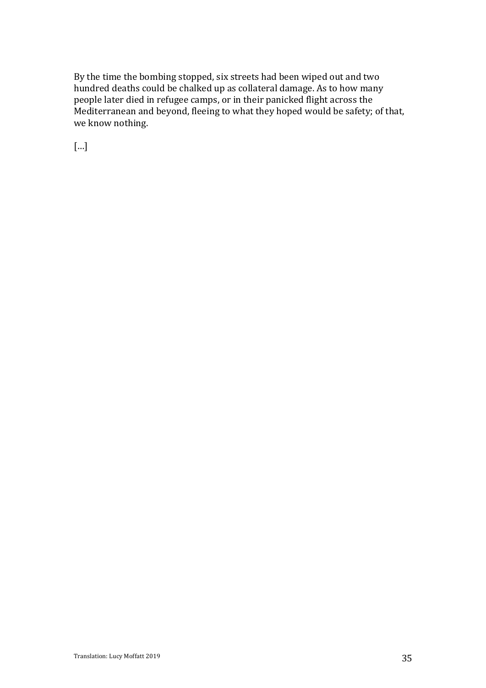By the time the bombing stopped, six streets had been wiped out and two hundred deaths could be chalked up as collateral damage. As to how many people later died in refugee camps, or in their panicked flight across the Mediterranean and beyond, fleeing to what they hoped would be safety; of that, we know nothing.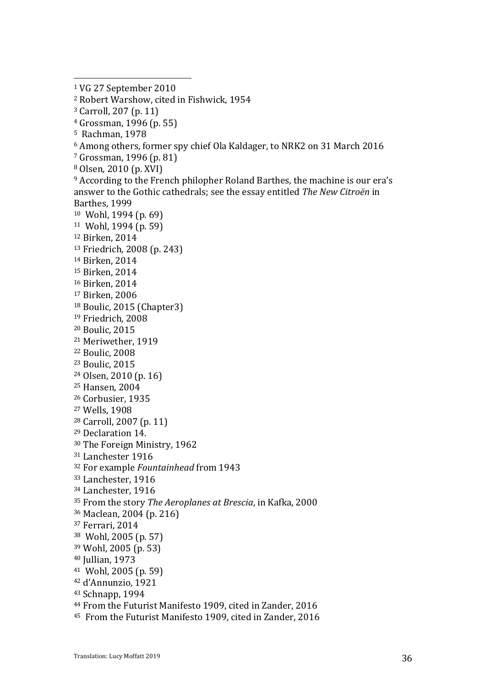- $4$  Grossman, 1996 (p. 55)
- <sup>5</sup> Rachman, 1978
- $6$  Among others, former spy chief Ola Kaldager, to NRK2 on 31 March 2016
- $7$  Grossman, 1996 (p. 81)
- $8$  Olsen, 2010 (p. XVI)
- $9$  According to the French philopher Roland Barthes, the machine is our era's answer to the Gothic cathedrals; see the essay entitled *The New Citroën* in Barthes, 1999 <sup>10</sup> Wohl, 1994 (p. 69)
- $11$  Wohl, 1994 (p. 59)
- <sup>12</sup> Birken, 2014
- <sup>13</sup> Friedrich, 2008 (p. 243)
- <sup>14</sup> Birken, 2014
- <sup>15</sup> Birken, 2014
- <sup>16</sup> Birken, 2014
- <sup>17</sup> Birken, 2006
- <sup>18</sup> Boulic, 2015 (Chapter3)
- <sup>19</sup> Friedrich, 2008
- <sup>20</sup> Boulic, 2015
- <sup>21</sup> Meriwether, 1919
- <sup>22</sup> Boulic, 2008
- <sup>23</sup> Boulic, 2015
- $24$  Olsen, 2010 (p. 16)
- <sup>25</sup> Hansen, 2004
- <sup>26</sup> Corbusier, 1935
- <sup>27</sup> Wells, 1908
- <sup>28</sup> Carroll, 2007 (p. 11)
- <sup>29</sup> Declaration 14.
- <sup>30</sup> The Foreign Ministry, 1962
- <sup>31</sup> Lanchester 1916
- <sup>32</sup> For example *Fountainhead* from 1943
- <sup>33</sup> Lanchester, 1916
- <sup>34</sup> Lanchester, 1916
- <sup>35</sup> From the story *The Aeroplanes at Brescia*, in Kafka, 2000
- 36 Maclean, 2004 (p. 216)
- <sup>37</sup> Ferrari, 2014
- $38$  Wohl, 2005 (p. 57)
- 39 Wohl, 2005 (p. 53)
- 40 Jullian, 1973
- $41$  Wohl, 2005 (p. 59)
- <sup>42</sup> d'Annunzio, 1921
- 43 Schnapp, 1994
- <sup>44</sup> From the Futurist Manifesto 1909, cited in Zander, 2016
- <sup>45</sup> From the Futurist Manifesto 1909, cited in Zander, 2016

<sup>&</sup>lt;sup>1</sup> VG 27 September 2010

<sup>&</sup>lt;sup>2</sup> Robert Warshow, cited in Fishwick, 1954

<sup>&</sup>lt;sup>3</sup> Carroll, 207 (p. 11)